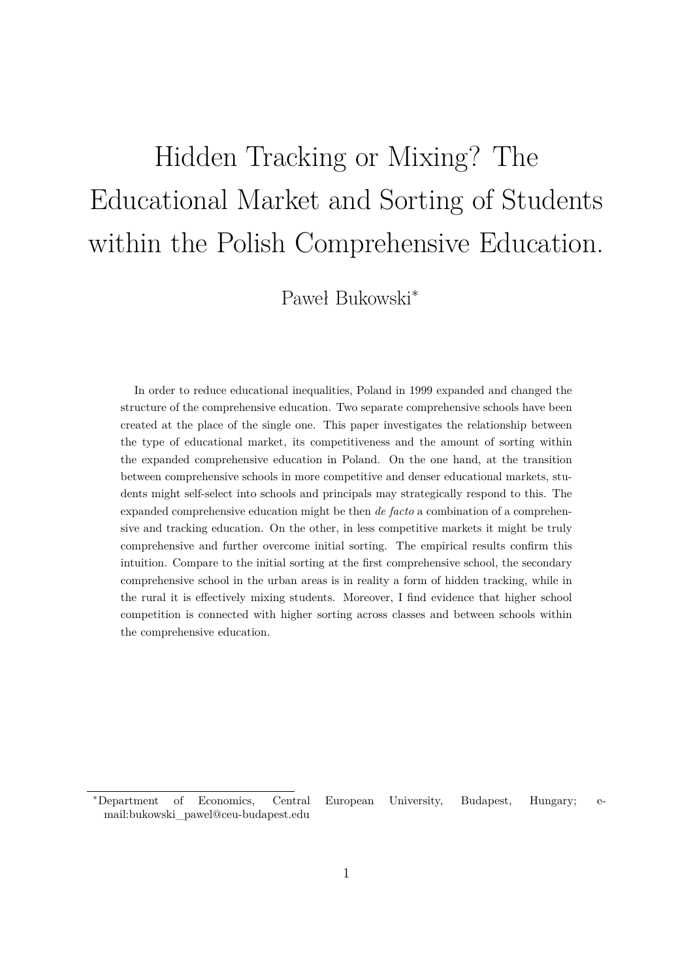# Hidden Tracking or Mixing? The Educational Market and Sorting of Students within the Polish Comprehensive Education.

Paweł Bukowski<sup>∗</sup>

In order to reduce educational inequalities, Poland in 1999 expanded and changed the structure of the comprehensive education. Two separate comprehensive schools have been created at the place of the single one. This paper investigates the relationship between the type of educational market, its competitiveness and the amount of sorting within the expanded comprehensive education in Poland. On the one hand, at the transition between comprehensive schools in more competitive and denser educational markets, students might self-select into schools and principals may strategically respond to this. The expanded comprehensive education might be then *de facto* a combination of a comprehensive and tracking education. On the other, in less competitive markets it might be truly comprehensive and further overcome initial sorting. The empirical results confirm this intuition. Compare to the initial sorting at the first comprehensive school, the secondary comprehensive school in the urban areas is in reality a form of hidden tracking, while in the rural it is effectively mixing students. Moreover, I find evidence that higher school competition is connected with higher sorting across classes and between schools within the comprehensive education.

<sup>∗</sup>Department of Economics, Central European University, Budapest, Hungary; email:bukowski\_pawel@ceu-budapest.edu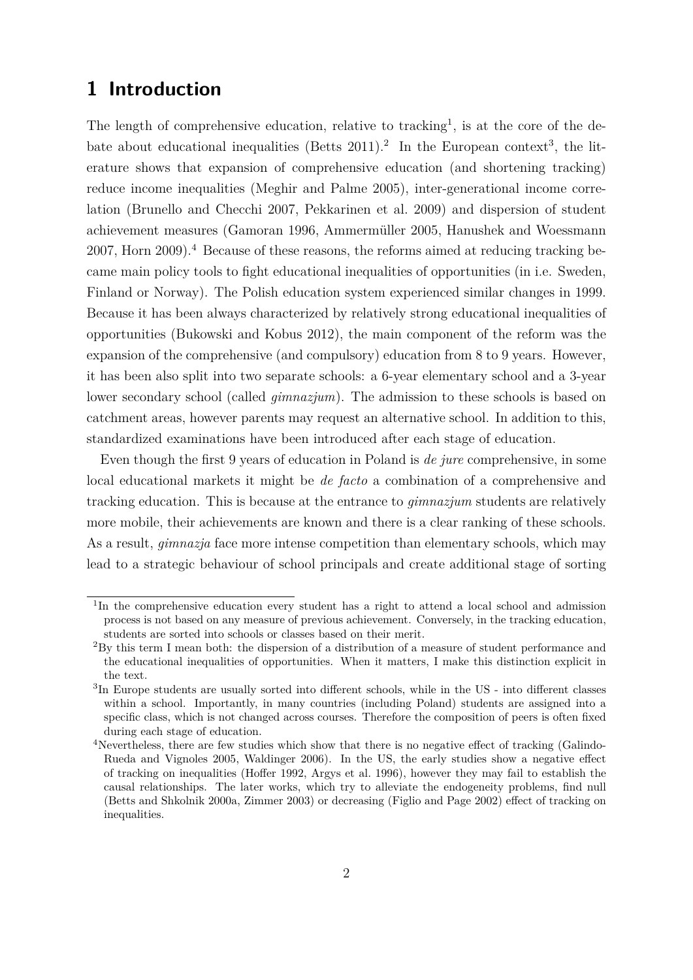# **1 Introduction**

The length of comprehensive education, relative to tracking<sup>1</sup>, is at the core of the debate about educational inequalities (Betts 2011).<sup>2</sup> In the European context<sup>3</sup>, the literature shows that expansion of comprehensive education (and shortening tracking) reduce income inequalities (Meghir and Palme 2005), inter-generational income correlation (Brunello and Checchi 2007, Pekkarinen et al. 2009) and dispersion of student achievement measures (Gamoran 1996, Ammermüller 2005, Hanushek and Woessmann 2007, Horn 2009).<sup>4</sup> Because of these reasons, the reforms aimed at reducing tracking became main policy tools to fight educational inequalities of opportunities (in i.e. Sweden, Finland or Norway). The Polish education system experienced similar changes in 1999. Because it has been always characterized by relatively strong educational inequalities of opportunities (Bukowski and Kobus 2012), the main component of the reform was the expansion of the comprehensive (and compulsory) education from 8 to 9 years. However, it has been also split into two separate schools: a 6-year elementary school and a 3-year lower secondary school (called *gimnazjum*). The admission to these schools is based on catchment areas, however parents may request an alternative school. In addition to this, standardized examinations have been introduced after each stage of education.

Even though the first 9 years of education in Poland is *de jure* comprehensive, in some local educational markets it might be *de facto* a combination of a comprehensive and tracking education. This is because at the entrance to *gimnazjum* students are relatively more mobile, their achievements are known and there is a clear ranking of these schools. As a result, *gimnazja* face more intense competition than elementary schools, which may lead to a strategic behaviour of school principals and create additional stage of sorting

<sup>&</sup>lt;sup>1</sup>In the comprehensive education every student has a right to attend a local school and admission process is not based on any measure of previous achievement. Conversely, in the tracking education, students are sorted into schools or classes based on their merit.

<sup>2</sup>By this term I mean both: the dispersion of a distribution of a measure of student performance and the educational inequalities of opportunities. When it matters, I make this distinction explicit in the text.

<sup>3</sup> In Europe students are usually sorted into different schools, while in the US - into different classes within a school. Importantly, in many countries (including Poland) students are assigned into a specific class, which is not changed across courses. Therefore the composition of peers is often fixed during each stage of education.

<sup>&</sup>lt;sup>4</sup>Nevertheless, there are few studies which show that there is no negative effect of tracking (Galindo-Rueda and Vignoles 2005, Waldinger 2006). In the US, the early studies show a negative effect of tracking on inequalities (Hoffer 1992, Argys et al. 1996), however they may fail to establish the causal relationships. The later works, which try to alleviate the endogeneity problems, find null (Betts and Shkolnik 2000a, Zimmer 2003) or decreasing (Figlio and Page 2002) effect of tracking on inequalities.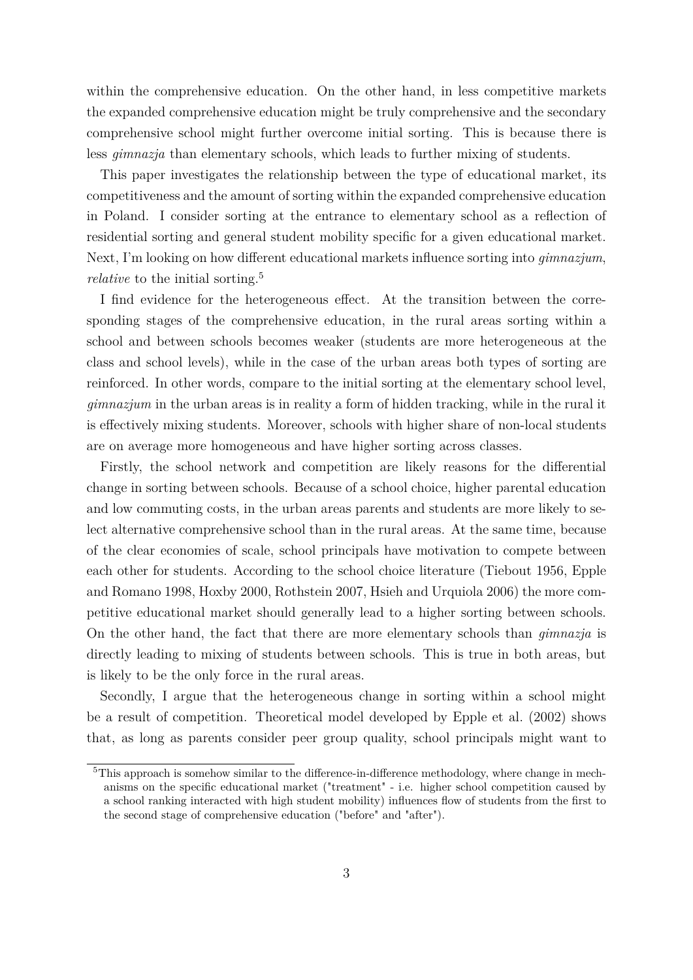within the comprehensive education. On the other hand, in less competitive markets the expanded comprehensive education might be truly comprehensive and the secondary comprehensive school might further overcome initial sorting. This is because there is less *gimnazja* than elementary schools, which leads to further mixing of students.

This paper investigates the relationship between the type of educational market, its competitiveness and the amount of sorting within the expanded comprehensive education in Poland. I consider sorting at the entrance to elementary school as a reflection of residential sorting and general student mobility specific for a given educational market. Next, I'm looking on how different educational markets influence sorting into *gimnazjum*, *relative* to the initial sorting.<sup>5</sup>

I find evidence for the heterogeneous effect. At the transition between the corresponding stages of the comprehensive education, in the rural areas sorting within a school and between schools becomes weaker (students are more heterogeneous at the class and school levels), while in the case of the urban areas both types of sorting are reinforced. In other words, compare to the initial sorting at the elementary school level, *gimnazjum* in the urban areas is in reality a form of hidden tracking, while in the rural it is effectively mixing students. Moreover, schools with higher share of non-local students are on average more homogeneous and have higher sorting across classes.

Firstly, the school network and competition are likely reasons for the differential change in sorting between schools. Because of a school choice, higher parental education and low commuting costs, in the urban areas parents and students are more likely to select alternative comprehensive school than in the rural areas. At the same time, because of the clear economies of scale, school principals have motivation to compete between each other for students. According to the school choice literature (Tiebout 1956, Epple and Romano 1998, Hoxby 2000, Rothstein 2007, Hsieh and Urquiola 2006) the more competitive educational market should generally lead to a higher sorting between schools. On the other hand, the fact that there are more elementary schools than *gimnazja* is directly leading to mixing of students between schools. This is true in both areas, but is likely to be the only force in the rural areas.

Secondly, I argue that the heterogeneous change in sorting within a school might be a result of competition. Theoretical model developed by Epple et al. (2002) shows that, as long as parents consider peer group quality, school principals might want to

<sup>&</sup>lt;sup>5</sup>This approach is somehow similar to the difference-in-difference methodology, where change in mechanisms on the specific educational market ("treatment" - i.e. higher school competition caused by a school ranking interacted with high student mobility) influences flow of students from the first to the second stage of comprehensive education ("before" and "after").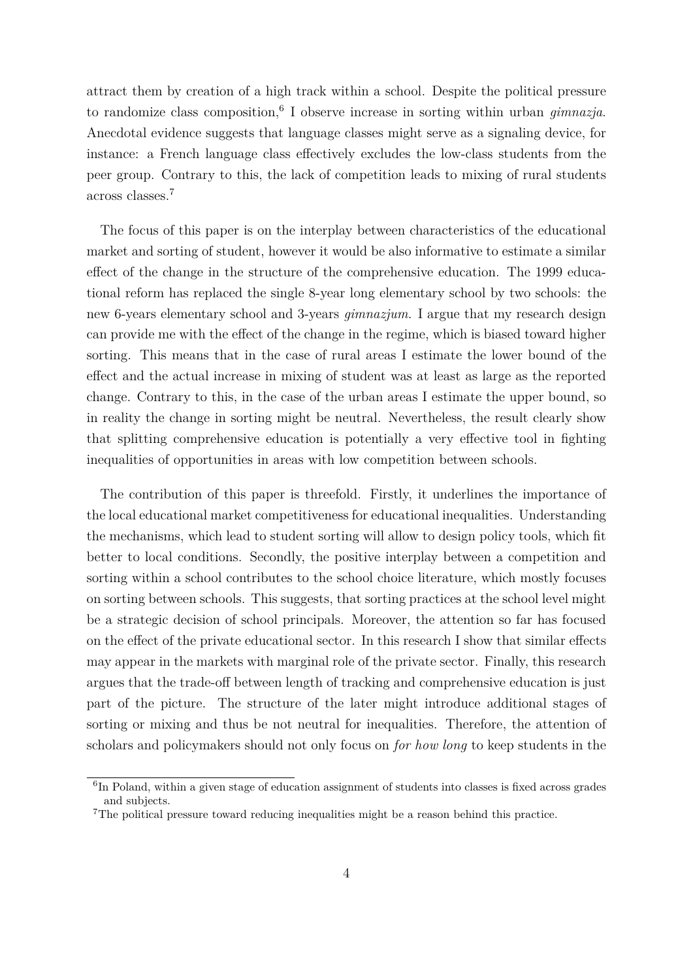attract them by creation of a high track within a school. Despite the political pressure to randomize class composition, <sup>6</sup> I observe increase in sorting within urban *gimnazja*. Anecdotal evidence suggests that language classes might serve as a signaling device, for instance: a French language class effectively excludes the low-class students from the peer group. Contrary to this, the lack of competition leads to mixing of rural students across classes.<sup>7</sup>

The focus of this paper is on the interplay between characteristics of the educational market and sorting of student, however it would be also informative to estimate a similar effect of the change in the structure of the comprehensive education. The 1999 educational reform has replaced the single 8-year long elementary school by two schools: the new 6-years elementary school and 3-years *gimnazjum*. I argue that my research design can provide me with the effect of the change in the regime, which is biased toward higher sorting. This means that in the case of rural areas I estimate the lower bound of the effect and the actual increase in mixing of student was at least as large as the reported change. Contrary to this, in the case of the urban areas I estimate the upper bound, so in reality the change in sorting might be neutral. Nevertheless, the result clearly show that splitting comprehensive education is potentially a very effective tool in fighting inequalities of opportunities in areas with low competition between schools.

The contribution of this paper is threefold. Firstly, it underlines the importance of the local educational market competitiveness for educational inequalities. Understanding the mechanisms, which lead to student sorting will allow to design policy tools, which fit better to local conditions. Secondly, the positive interplay between a competition and sorting within a school contributes to the school choice literature, which mostly focuses on sorting between schools. This suggests, that sorting practices at the school level might be a strategic decision of school principals. Moreover, the attention so far has focused on the effect of the private educational sector. In this research I show that similar effects may appear in the markets with marginal role of the private sector. Finally, this research argues that the trade-off between length of tracking and comprehensive education is just part of the picture. The structure of the later might introduce additional stages of sorting or mixing and thus be not neutral for inequalities. Therefore, the attention of scholars and policymakers should not only focus on *for how long* to keep students in the

<sup>&</sup>lt;sup>6</sup>In Poland, within a given stage of education assignment of students into classes is fixed across grades and subjects.

<sup>7</sup>The political pressure toward reducing inequalities might be a reason behind this practice.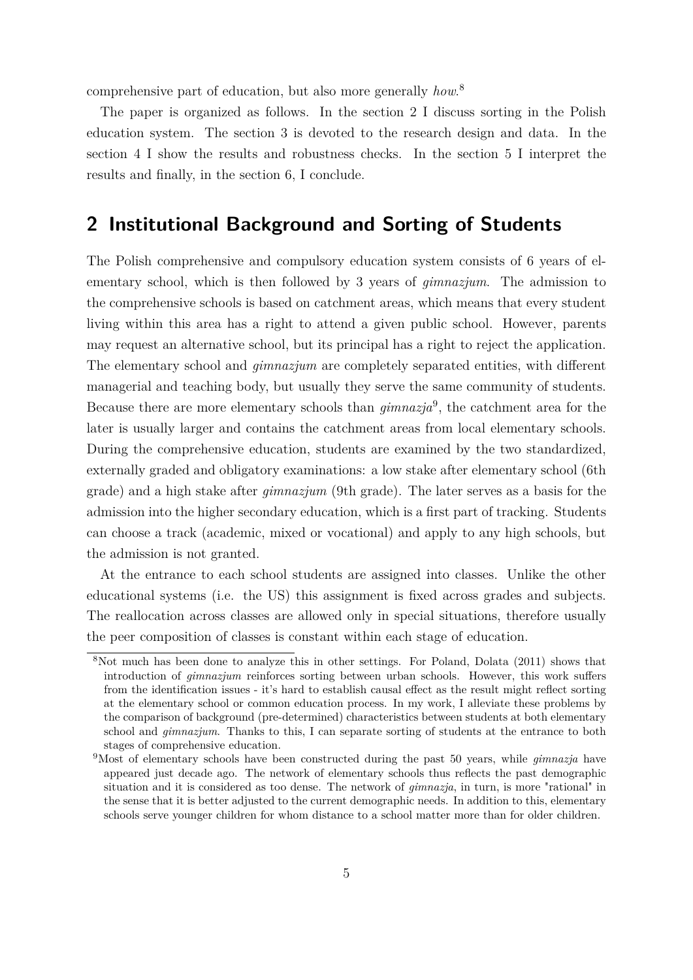comprehensive part of education, but also more generally *how*. 8

The paper is organized as follows. In the section 2 I discuss sorting in the Polish education system. The section 3 is devoted to the research design and data. In the section 4 I show the results and robustness checks. In the section 5 I interpret the results and finally, in the section 6, I conclude.

## **2 Institutional Background and Sorting of Students**

The Polish comprehensive and compulsory education system consists of 6 years of elementary school, which is then followed by 3 years of *gimnazjum*. The admission to the comprehensive schools is based on catchment areas, which means that every student living within this area has a right to attend a given public school. However, parents may request an alternative school, but its principal has a right to reject the application. The elementary school and *gimnazjum* are completely separated entities, with different managerial and teaching body, but usually they serve the same community of students. Because there are more elementary schools than *gimnazja*<sup>9</sup> , the catchment area for the later is usually larger and contains the catchment areas from local elementary schools. During the comprehensive education, students are examined by the two standardized, externally graded and obligatory examinations: a low stake after elementary school (6th grade) and a high stake after *gimnazjum* (9th grade). The later serves as a basis for the admission into the higher secondary education, which is a first part of tracking. Students can choose a track (academic, mixed or vocational) and apply to any high schools, but the admission is not granted.

At the entrance to each school students are assigned into classes. Unlike the other educational systems (i.e. the US) this assignment is fixed across grades and subjects. The reallocation across classes are allowed only in special situations, therefore usually the peer composition of classes is constant within each stage of education.

<sup>8</sup>Not much has been done to analyze this in other settings. For Poland, Dolata (2011) shows that introduction of *gimnazjum* reinforces sorting between urban schools. However, this work suffers from the identification issues - it's hard to establish causal effect as the result might reflect sorting at the elementary school or common education process. In my work, I alleviate these problems by the comparison of background (pre-determined) characteristics between students at both elementary school and *gimnazjum*. Thanks to this, I can separate sorting of students at the entrance to both stages of comprehensive education.

<sup>9</sup>Most of elementary schools have been constructed during the past 50 years, while *gimnazja* have appeared just decade ago. The network of elementary schools thus reflects the past demographic situation and it is considered as too dense. The network of *gimnazja*, in turn, is more "rational" in the sense that it is better adjusted to the current demographic needs. In addition to this, elementary schools serve younger children for whom distance to a school matter more than for older children.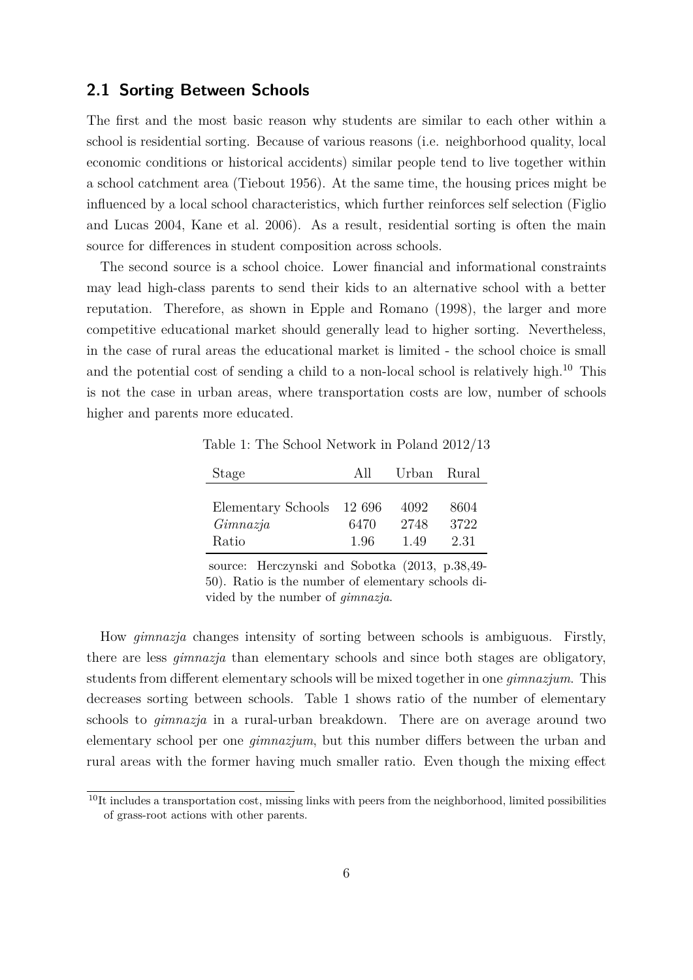#### **2.1 Sorting Between Schools**

The first and the most basic reason why students are similar to each other within a school is residential sorting. Because of various reasons (i.e. neighborhood quality, local economic conditions or historical accidents) similar people tend to live together within a school catchment area (Tiebout 1956). At the same time, the housing prices might be influenced by a local school characteristics, which further reinforces self selection (Figlio and Lucas 2004, Kane et al. 2006). As a result, residential sorting is often the main source for differences in student composition across schools.

The second source is a school choice. Lower financial and informational constraints may lead high-class parents to send their kids to an alternative school with a better reputation. Therefore, as shown in Epple and Romano (1998), the larger and more competitive educational market should generally lead to higher sorting. Nevertheless, in the case of rural areas the educational market is limited - the school choice is small and the potential cost of sending a child to a non-local school is relatively high.<sup>10</sup> This is not the case in urban areas, where transportation costs are low, number of schools higher and parents more educated.

Table 1: The School Network in Poland 2012/13

| Stage                     | All  | Urban Rural |      |
|---------------------------|------|-------------|------|
|                           |      |             |      |
| Elementary Schools 12 696 |      | 4092        | 8604 |
| Gimnazia                  | 6470 | 2748        | 3722 |
| Ratio                     | 1.96 | 1.49        | 2.31 |

source: Herczynski and Sobotka (2013, p.38,49- 50). Ratio is the number of elementary schools divided by the number of *gimnazja*.

How *gimnazja* changes intensity of sorting between schools is ambiguous. Firstly, there are less *gimnazja* than elementary schools and since both stages are obligatory, students from different elementary schools will be mixed together in one *gimnazjum*. This decreases sorting between schools. Table 1 shows ratio of the number of elementary schools to *gimnazja* in a rural-urban breakdown. There are on average around two elementary school per one *gimnazjum*, but this number differs between the urban and rural areas with the former having much smaller ratio. Even though the mixing effect

 $10$ It includes a transportation cost, missing links with peers from the neighborhood, limited possibilities of grass-root actions with other parents.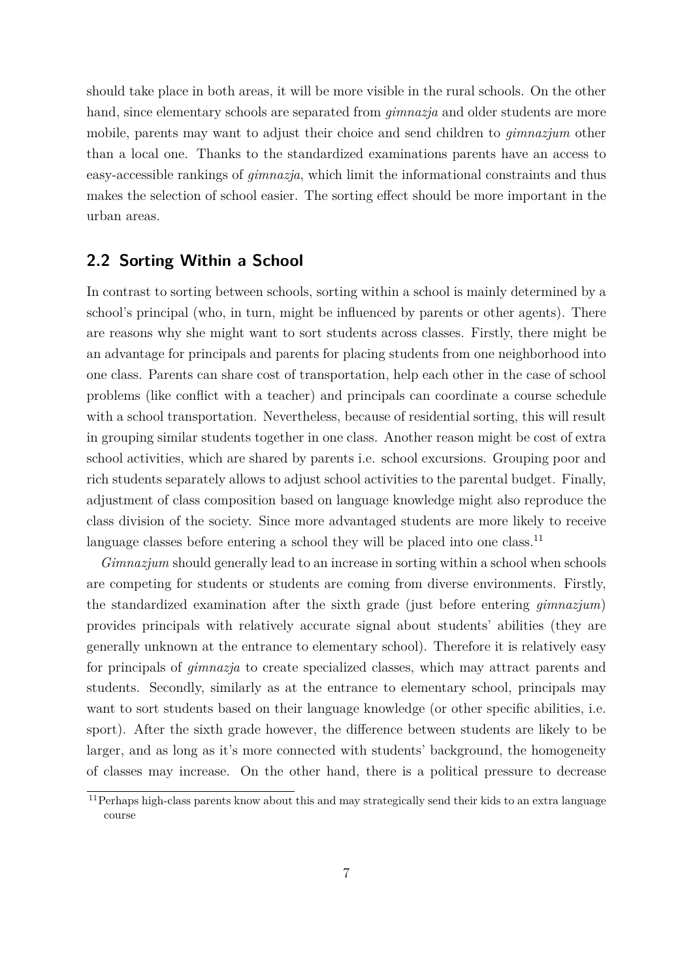should take place in both areas, it will be more visible in the rural schools. On the other hand, since elementary schools are separated from *gimnazja* and older students are more mobile, parents may want to adjust their choice and send children to *gimnazjum* other than a local one. Thanks to the standardized examinations parents have an access to easy-accessible rankings of *gimnazja*, which limit the informational constraints and thus makes the selection of school easier. The sorting effect should be more important in the urban areas.

## **2.2 Sorting Within a School**

In contrast to sorting between schools, sorting within a school is mainly determined by a school's principal (who, in turn, might be influenced by parents or other agents). There are reasons why she might want to sort students across classes. Firstly, there might be an advantage for principals and parents for placing students from one neighborhood into one class. Parents can share cost of transportation, help each other in the case of school problems (like conflict with a teacher) and principals can coordinate a course schedule with a school transportation. Nevertheless, because of residential sorting, this will result in grouping similar students together in one class. Another reason might be cost of extra school activities, which are shared by parents i.e. school excursions. Grouping poor and rich students separately allows to adjust school activities to the parental budget. Finally, adjustment of class composition based on language knowledge might also reproduce the class division of the society. Since more advantaged students are more likely to receive language classes before entering a school they will be placed into one class.<sup>11</sup>

*Gimnazjum* should generally lead to an increase in sorting within a school when schools are competing for students or students are coming from diverse environments. Firstly, the standardized examination after the sixth grade (just before entering *gimnazjum*) provides principals with relatively accurate signal about students' abilities (they are generally unknown at the entrance to elementary school). Therefore it is relatively easy for principals of *gimnazja* to create specialized classes, which may attract parents and students. Secondly, similarly as at the entrance to elementary school, principals may want to sort students based on their language knowledge (or other specific abilities, i.e. sport). After the sixth grade however, the difference between students are likely to be larger, and as long as it's more connected with students' background, the homogeneity of classes may increase. On the other hand, there is a political pressure to decrease

<sup>11</sup>Perhaps high-class parents know about this and may strategically send their kids to an extra language course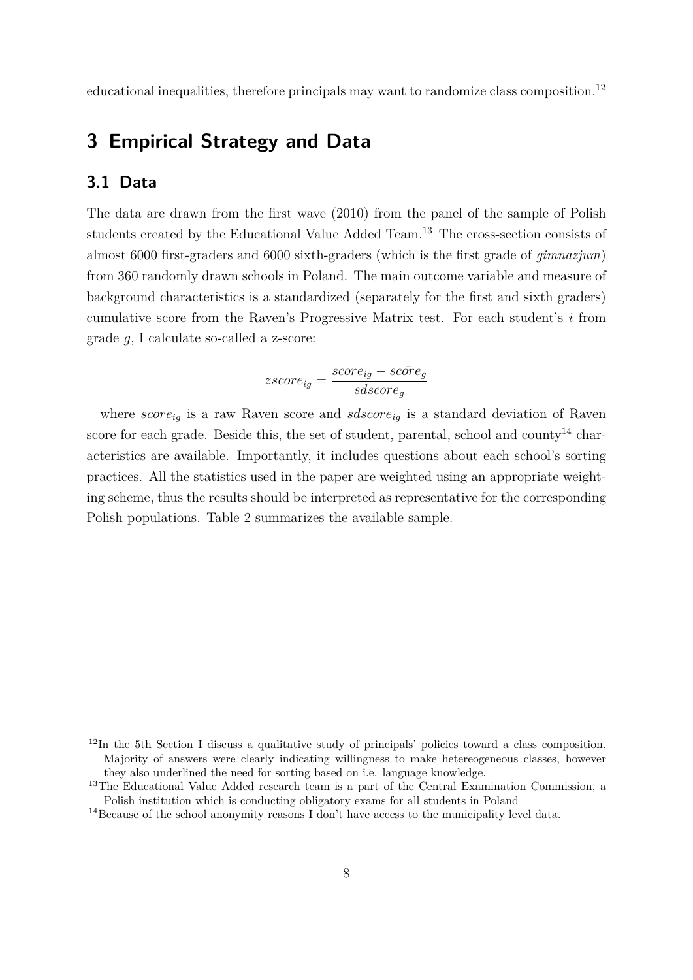educational inequalities, therefore principals may want to randomize class composition.<sup>12</sup>

# **3 Empirical Strategy and Data**

## **3.1 Data**

The data are drawn from the first wave (2010) from the panel of the sample of Polish students created by the Educational Value Added Team.<sup>13</sup> The cross-section consists of almost 6000 first-graders and 6000 sixth-graders (which is the first grade of *gimnazjum*) from 360 randomly drawn schools in Poland. The main outcome variable and measure of background characteristics is a standardized (separately for the first and sixth graders) cumulative score from the Raven's Progressive Matrix test. For each student's *i* from grade *g*, I calculate so-called a z-score:

$$
zscore_{ig} = \frac{score_{ig} - score_g}{sdscore_g}
$$

where  $score_{iq}$  is a raw Raven score and  $sdscore_{iq}$  is a standard deviation of Raven score for each grade. Beside this, the set of student, parental, school and county<sup>14</sup> characteristics are available. Importantly, it includes questions about each school's sorting practices. All the statistics used in the paper are weighted using an appropriate weighting scheme, thus the results should be interpreted as representative for the corresponding Polish populations. Table 2 summarizes the available sample.

<sup>12</sup>In the 5th Section I discuss a qualitative study of principals' policies toward a class composition. Majority of answers were clearly indicating willingness to make hetereogeneous classes, however they also underlined the need for sorting based on i.e. language knowledge.

<sup>&</sup>lt;sup>13</sup>The Educational Value Added research team is a part of the Central Examination Commission, a Polish institution which is conducting obligatory exams for all students in Poland

<sup>14</sup>Because of the school anonymity reasons I don't have access to the municipality level data.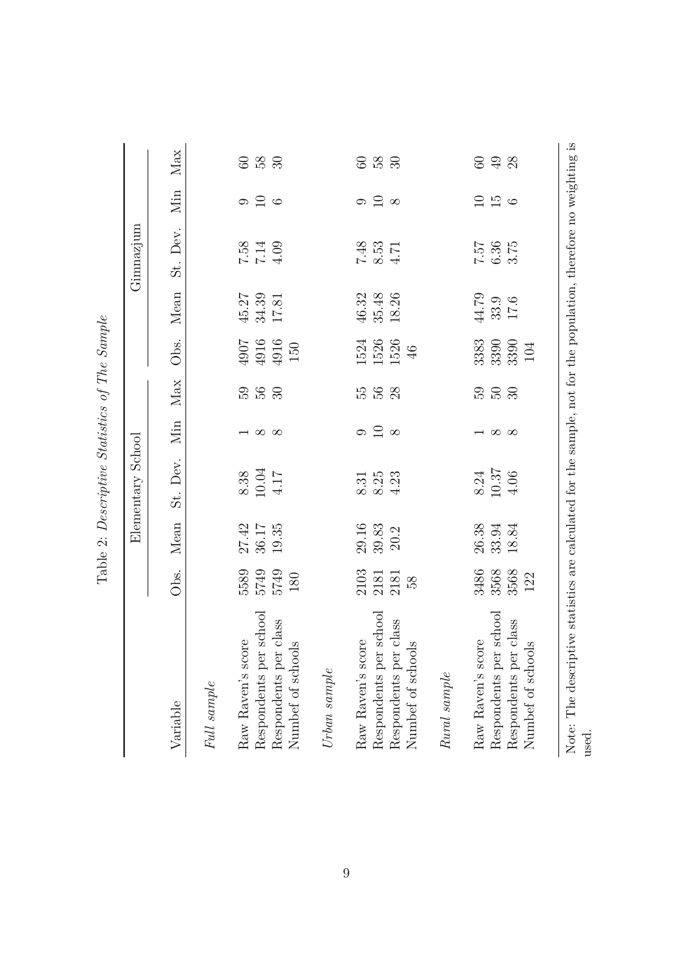|                                            |               |       | Elementary  | School          |                  |                                                       |                    | Gimnazjum                                   |          |            |
|--------------------------------------------|---------------|-------|-------------|-----------------|------------------|-------------------------------------------------------|--------------------|---------------------------------------------|----------|------------|
| Variable                                   | $\frac{1}{2}$ | Mean  | Dev.<br>St. | Мin             | Max              | Obs.                                                  | Mean               | Dev.<br>St.                                 | $\lim$   | Max        |
| Full sample                                |               |       |             |                 |                  |                                                       |                    |                                             |          |            |
| Raw Raven's score                          | 5589          | 27.42 | 8.38        |                 |                  |                                                       | 45.27              |                                             | $\circ$  | ${\rm 60}$ |
| Respondents per school                     | 5749          | 36.17 | 10.04       | $\infty$        | 0 G<br>0 G       | $\begin{array}{c} 4907 \\ 104 \\ 4916 \\ \end{array}$ | 34.39              | $7.58$<br>7.14                              | $\Box$   | 58         |
| Respondents per class<br>Numbef of schools | 5749<br>180   | 19.35 | 4.17        | $\infty$        | 30 <sup>°</sup>  | $150\,$                                               | 17.81              | 4.09                                        | $\circ$  | 30         |
| $Urban\ sample$                            |               |       |             |                 |                  |                                                       |                    |                                             |          |            |
| Raw Raven's score                          | 2103          | 29.16 | 8.31        | 9               | 55               |                                                       |                    |                                             | G        |            |
| Respondents per school                     | 2181          | 39.83 | 8.25        | $\Box$          | 56               | 1524<br>1526                                          | $46.32$<br>$35.48$ | $\begin{array}{c} 7.48 \\ 8.53 \end{array}$ | $\Box$   | 8g<br>00   |
| Respondents per class<br>Numbef of schools | 2181<br>58    | 20.2  | 4.23        | $\infty$        | $\infty$         | 1526<br>46                                            | 18.26              | 4.71                                        | $\infty$ | 30         |
| Rural sample                               |               |       |             |                 |                  |                                                       |                    |                                             |          |            |
| Raw Raven's score                          | 3486          | 26.38 | 8.24        |                 |                  | 3383                                                  | 44.79              |                                             |          | $60\,$     |
| Respondents per school                     | 3568          | 33.94 | 10.37       | $\sim$ $\infty$ | <b>300</b><br>30 | 3390                                                  | 33.9               | $7.57$<br>6.36                              | 950      | 98         |
| Respondents per class<br>Numbef of schools | 3568<br>122   | 18.84 | 4.06        |                 |                  | 3390<br>104                                           | 17.6               | 3.75                                        |          |            |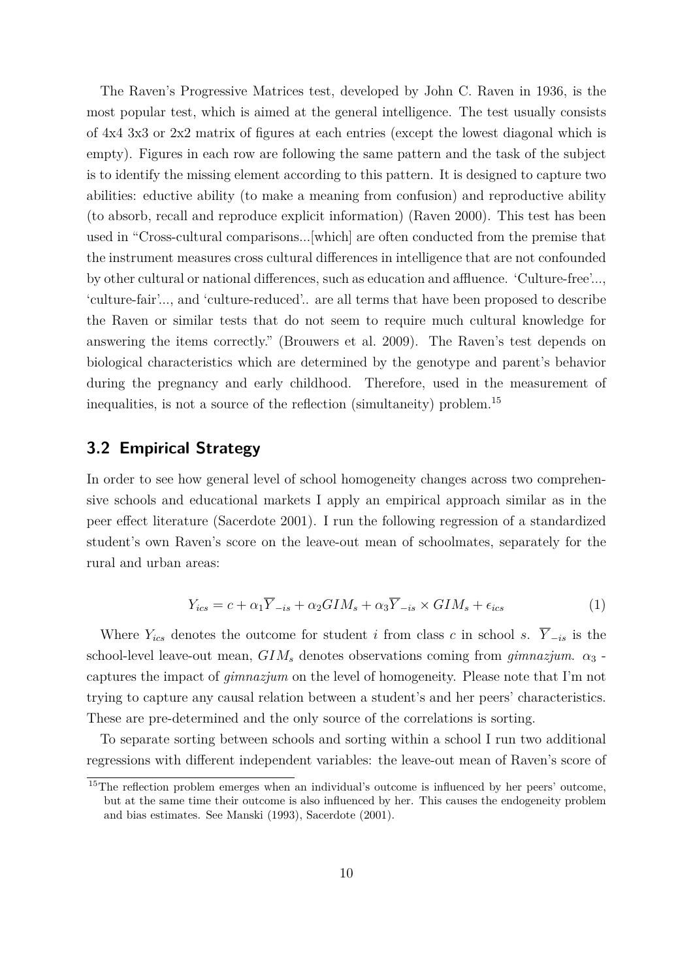The Raven's Progressive Matrices test, developed by John C. Raven in 1936, is the most popular test, which is aimed at the general intelligence. The test usually consists of 4x4 3x3 or 2x2 matrix of figures at each entries (except the lowest diagonal which is empty). Figures in each row are following the same pattern and the task of the subject is to identify the missing element according to this pattern. It is designed to capture two abilities: eductive ability (to make a meaning from confusion) and reproductive ability (to absorb, recall and reproduce explicit information) (Raven 2000). This test has been used in "Cross-cultural comparisons...[which] are often conducted from the premise that the instrument measures cross cultural differences in intelligence that are not confounded by other cultural or national differences, such as education and affluence. 'Culture-free'..., 'culture-fair'..., and 'culture-reduced'.. are all terms that have been proposed to describe the Raven or similar tests that do not seem to require much cultural knowledge for answering the items correctly." (Brouwers et al. 2009). The Raven's test depends on biological characteristics which are determined by the genotype and parent's behavior during the pregnancy and early childhood. Therefore, used in the measurement of inequalities, is not a source of the reflection (simultaneity) problem.<sup>15</sup>

#### **3.2 Empirical Strategy**

In order to see how general level of school homogeneity changes across two comprehensive schools and educational markets I apply an empirical approach similar as in the peer effect literature (Sacerdote 2001). I run the following regression of a standardized student's own Raven's score on the leave-out mean of schoolmates, separately for the rural and urban areas:

$$
Y_{ics} = c + \alpha_1 \overline{Y}_{-is} + \alpha_2 G I M_s + \alpha_3 \overline{Y}_{-is} \times G I M_s + \epsilon_{ics}
$$
 (1)

Where  $Y_{ics}$  denotes the outcome for student *i* from class *c* in school *s*.  $\overline{Y}_{-is}$  is the school-level leave-out mean,  $GIM_s$  denotes observations coming from  $\gamma_j$  *gimnazjum.*  $\alpha_3$ captures the impact of *gimnazjum* on the level of homogeneity. Please note that I'm not trying to capture any causal relation between a student's and her peers' characteristics. These are pre-determined and the only source of the correlations is sorting.

To separate sorting between schools and sorting within a school I run two additional regressions with different independent variables: the leave-out mean of Raven's score of

<sup>&</sup>lt;sup>15</sup>The reflection problem emerges when an individual's outcome is influenced by her peers' outcome, but at the same time their outcome is also influenced by her. This causes the endogeneity problem and bias estimates. See Manski (1993), Sacerdote (2001).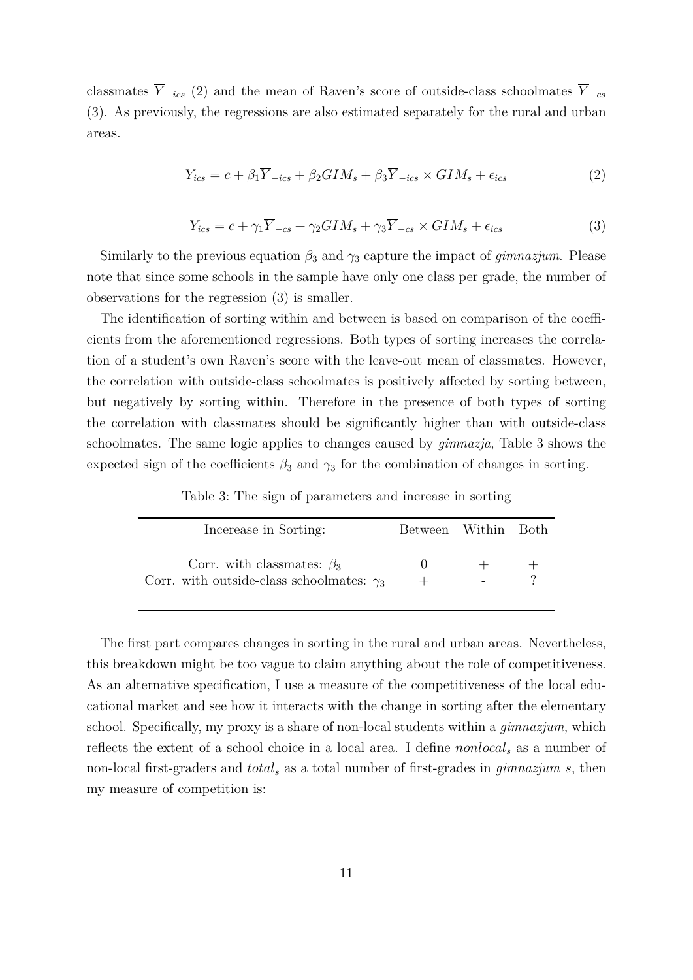classmates  $\overline{Y}_{-ics}$  (2) and the mean of Raven's score of outside-class schoolmates  $\overline{Y}_{-cs}$ (3). As previously, the regressions are also estimated separately for the rural and urban areas.

$$
Y_{ics} = c + \beta_1 \overline{Y}_{-ics} + \beta_2 G I M_s + \beta_3 \overline{Y}_{-ics} \times G I M_s + \epsilon_{ics}
$$
 (2)

$$
Y_{ics} = c + \gamma_1 \overline{Y}_{-cs} + \gamma_2 G I M_s + \gamma_3 \overline{Y}_{-cs} \times G I M_s + \epsilon_{ics}
$$
\n
$$
\tag{3}
$$

Similarly to the previous equation  $\beta_3$  and  $\gamma_3$  capture the impact of *gimnazjum*. Please note that since some schools in the sample have only one class per grade, the number of observations for the regression (3) is smaller.

The identification of sorting within and between is based on comparison of the coefficients from the aforementioned regressions. Both types of sorting increases the correlation of a student's own Raven's score with the leave-out mean of classmates. However, the correlation with outside-class schoolmates is positively affected by sorting between, but negatively by sorting within. Therefore in the presence of both types of sorting the correlation with classmates should be significantly higher than with outside-class schoolmates. The same logic applies to changes caused by *gimnazja*, Table 3 shows the expected sign of the coefficients  $\beta_3$  and  $\gamma_3$  for the combination of changes in sorting.

Table 3: The sign of parameters and increase in sorting

| Incerease in Sorting:                                                                | Between Within Both |  |
|--------------------------------------------------------------------------------------|---------------------|--|
| Corr. with classmates: $\beta_3$<br>Corr. with outside-class schoolmates: $\gamma_3$ |                     |  |

The first part compares changes in sorting in the rural and urban areas. Nevertheless, this breakdown might be too vague to claim anything about the role of competitiveness. As an alternative specification, I use a measure of the competitiveness of the local educational market and see how it interacts with the change in sorting after the elementary school. Specifically, my proxy is a share of non-local students within a *gimnazjum*, which reflects the extent of a school choice in a local area. I define *nonlocal<sup>s</sup>* as a number of non-local first-graders and *total<sup>s</sup>* as a total number of first-grades in *gimnazjum s*, then my measure of competition is: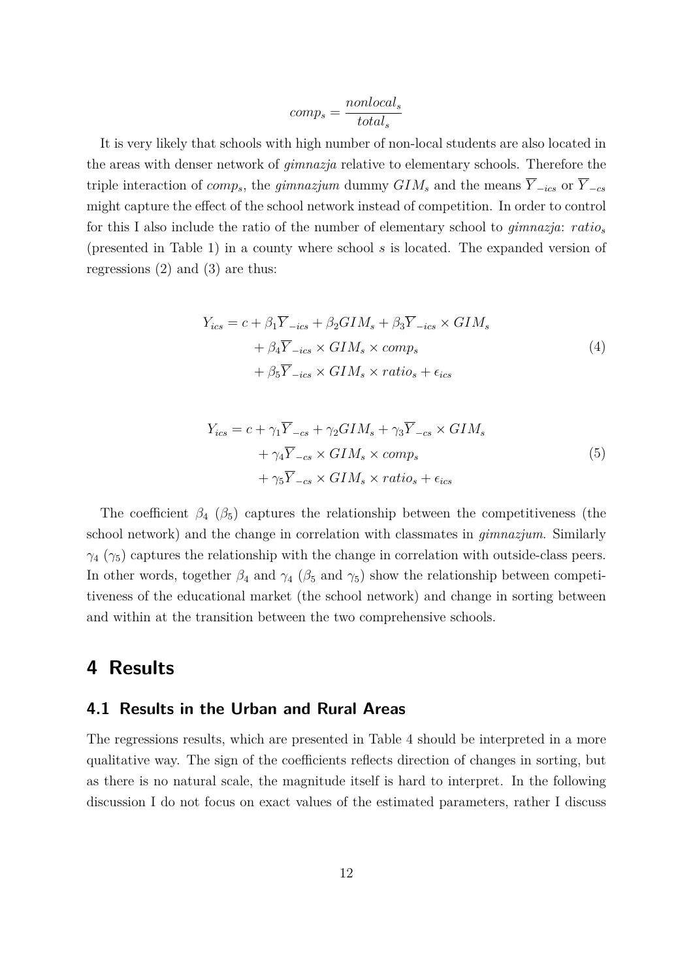$$
comp_s = \frac{nonlocal_s}{total_s}
$$

It is very likely that schools with high number of non-local students are also located in the areas with denser network of *gimnazja* relative to elementary schools. Therefore the triple interaction of *comp<sub>s</sub>*, the *gimnazjum* dummy  $GIM_s$  and the means  $\overline{Y}_{-ics}$  or  $\overline{Y}_{-cs}$ might capture the effect of the school network instead of competition. In order to control for this I also include the ratio of the number of elementary school to *gimnazja*: *ratio<sup>s</sup>* (presented in Table 1) in a county where school *s* is located. The expanded version of regressions (2) and (3) are thus:

$$
Y_{ics} = c + \beta_1 \overline{Y}_{-ics} + \beta_2 G I M_s + \beta_3 \overline{Y}_{-ics} \times G I M_s
$$
  
+  $\beta_4 \overline{Y}_{-ics} \times G I M_s \times comp_s$   
+  $\beta_5 \overline{Y}_{-ics} \times G I M_s \times ratio_s + \epsilon_{ics}$  (4)

$$
Y_{ics} = c + \gamma_1 \overline{Y}_{-cs} + \gamma_2 G I M_s + \gamma_3 \overline{Y}_{-cs} \times G I M_s
$$
  
+  $\gamma_4 \overline{Y}_{-cs} \times G I M_s \times comp_s$   
+  $\gamma_5 \overline{Y}_{-cs} \times G I M_s \times ratio_s + \epsilon_{ics}$  (5)

The coefficient  $\beta_4$  ( $\beta_5$ ) captures the relationship between the competitiveness (the school network) and the change in correlation with classmates in *gimnazjum*. Similarly  $\gamma_4$  ( $\gamma_5$ ) captures the relationship with the change in correlation with outside-class peers. In other words, together  $\beta_4$  and  $\gamma_4$  ( $\beta_5$  and  $\gamma_5$ ) show the relationship between competitiveness of the educational market (the school network) and change in sorting between and within at the transition between the two comprehensive schools.

## **4 Results**

#### **4.1 Results in the Urban and Rural Areas**

The regressions results, which are presented in Table 4 should be interpreted in a more qualitative way. The sign of the coefficients reflects direction of changes in sorting, but as there is no natural scale, the magnitude itself is hard to interpret. In the following discussion I do not focus on exact values of the estimated parameters, rather I discuss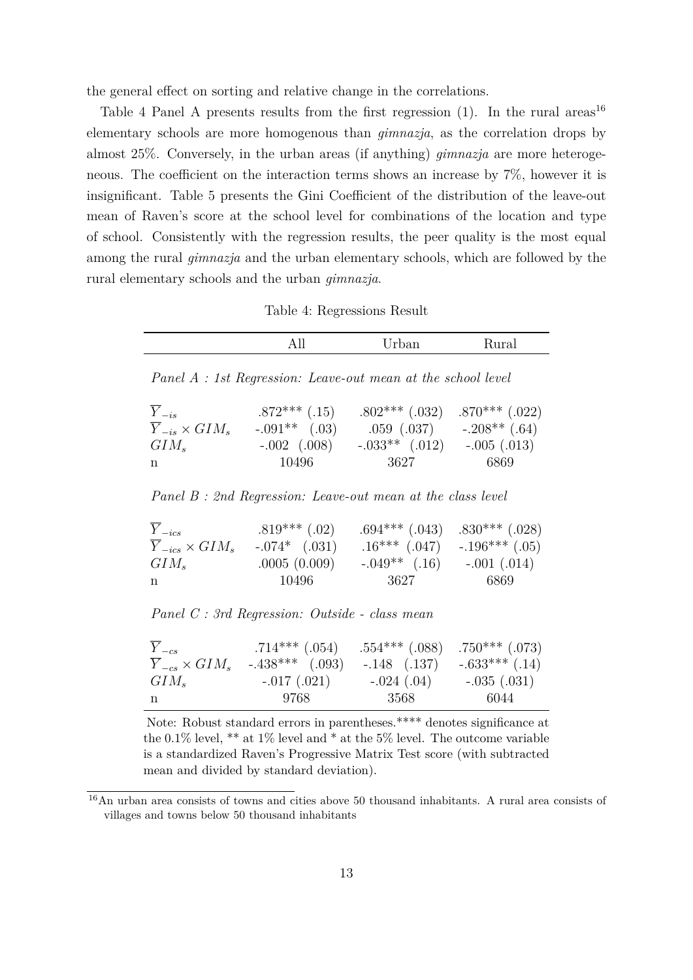the general effect on sorting and relative change in the correlations.

Table 4 Panel A presents results from the first regression  $(1)$ . In the rural areas<sup>16</sup> elementary schools are more homogenous than *gimnazja*, as the correlation drops by almost 25%. Conversely, in the urban areas (if anything) *gimnazja* are more heterogeneous. The coefficient on the interaction terms shows an increase by 7%, however it is insignificant. Table 5 presents the Gini Coefficient of the distribution of the leave-out mean of Raven's score at the school level for combinations of the location and type of school. Consistently with the regression results, the peer quality is the most equal among the rural *gimnazja* and the urban elementary schools, which are followed by the rural elementary schools and the urban *gimnazja*.

Table 4: Regressions Result

|                                                                           | All                                                             | Urban                                                                                                  | Rural                    |
|---------------------------------------------------------------------------|-----------------------------------------------------------------|--------------------------------------------------------------------------------------------------------|--------------------------|
|                                                                           | Panel A : 1st Regression: Leave-out mean at the school level    |                                                                                                        |                          |
| $\overline{Y}_{-is}$<br>$\overline{Y}_{-is} \times GIM_s$<br>$GIM_s$<br>n | $.872***$ (.15)<br>$-.091**$ (.03)<br>$-.002$ $(.008)$<br>10496 | $.802***$ $(.032)$<br>$.059$ $(.037)$ $-.208**$ $(.64)$<br>$-.033**$ $(.012)$ $-.005$ $(.013)$<br>3627 | $.870***$ (.022)<br>6869 |
|                                                                           | Panel B : 2nd Regression: Leave-out mean at the class level     |                                                                                                        |                          |
| $\overline{Y}_{-ics}$<br>$\overline{Y}_{-ics} \times GIM_s$<br>$GIM_s$    | $.819***$ (.02)<br>$-.074*$ $(.031)$<br>.0005(0.009)            | $.694***$ $(.043)$<br>$.16***$ $(.047)$ $-.196***$ $(.05)$<br>$-.049**$ (.16) $-.001$ (.014)           | $.830***$ (.028)         |

*Panel C : 3rd Regression: Outside - class mean*

| $Y_{-cs}$                         | $.714***$ $(.054)$ | $.554***$ $(.088)$ $.750***$ $(.073)$ |                    |
|-----------------------------------|--------------------|---------------------------------------|--------------------|
| $\overline{Y}_{-cs} \times GIM_s$ | $-.438***$ (.093)  | $-.148$ $(.137)$                      | $-.633***$ $(.14)$ |
| $GIM_{s}$                         | $-.017(.021)$      | $-.024(.04)$                          | $-.035(.031)$      |
| n                                 | -9768              | 3568                                  | -6044              |

n 10496 3627 6869

Note: Robust standard errors in parentheses.\*\*\*\* denotes significance at the 0.1% level, \*\* at  $1\%$  level and \* at the 5% level. The outcome variable is a standardized Raven's Progressive Matrix Test score (with subtracted mean and divided by standard deviation).

<sup>16</sup>An urban area consists of towns and cities above 50 thousand inhabitants. A rural area consists of villages and towns below 50 thousand inhabitants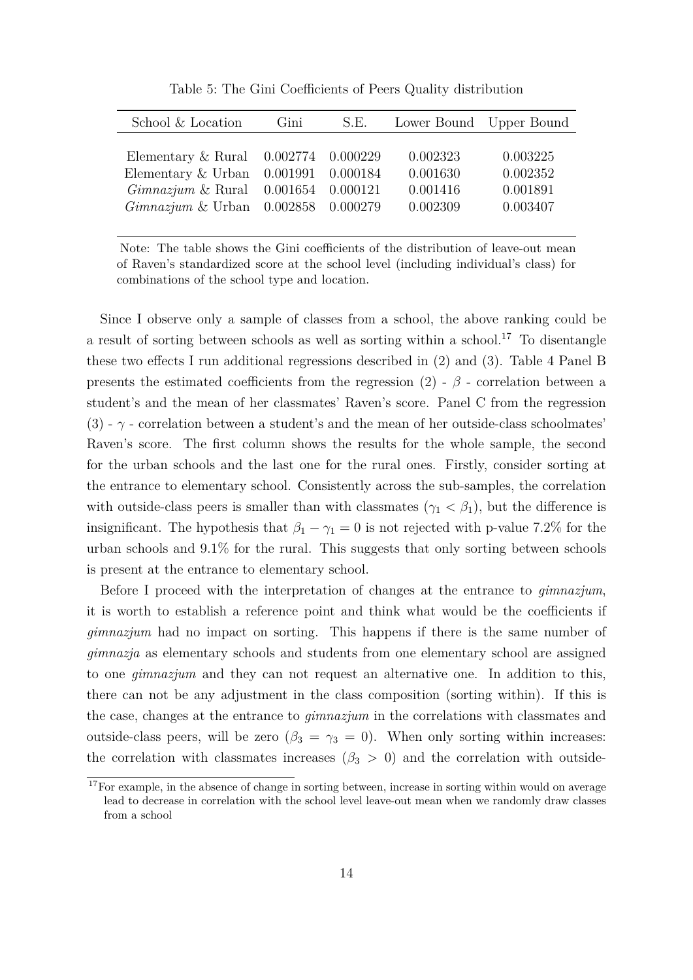Table 5: The Gini Coefficients of Peers Quality distribution

| School & Location                                                                                   | Gini | S.E. | Lower Bound Upper Bound |                      |
|-----------------------------------------------------------------------------------------------------|------|------|-------------------------|----------------------|
| Elementary $\&$ Rural $0.002774$ $0.000229$<br>Elementary $&$ Urban 0.001991 0.000184               |      |      | 0.002323<br>0.001630    | 0.003225<br>0.002352 |
| $Gimnazium \&$ Rural $\,0.001654 \, 0.000121$<br>$Gimnazium \& Urban \quad 0.002858 \quad 0.000279$ |      |      | 0.001416<br>0.002309    | 0.001891<br>0.003407 |

Note: The table shows the Gini coefficients of the distribution of leave-out mean of Raven's standardized score at the school level (including individual's class) for combinations of the school type and location.

Since I observe only a sample of classes from a school, the above ranking could be a result of sorting between schools as well as sorting within a school.<sup>17</sup> To disentangle these two effects I run additional regressions described in (2) and (3). Table 4 Panel B presents the estimated coefficients from the regression  $(2)$  -  $\beta$  - correlation between a student's and the mean of her classmates' Raven's score. Panel C from the regression  $(3)$  -  $\gamma$  - correlation between a student's and the mean of her outside-class schoolmates' Raven's score. The first column shows the results for the whole sample, the second for the urban schools and the last one for the rural ones. Firstly, consider sorting at the entrance to elementary school. Consistently across the sub-samples, the correlation with outside-class peers is smaller than with classmates  $(\gamma_1 < \beta_1)$ , but the difference is insignificant. The hypothesis that  $\beta_1 - \gamma_1 = 0$  is not rejected with p-value 7.2% for the urban schools and 9.1% for the rural. This suggests that only sorting between schools is present at the entrance to elementary school.

Before I proceed with the interpretation of changes at the entrance to *gimnazjum*, it is worth to establish a reference point and think what would be the coefficients if *gimnazjum* had no impact on sorting. This happens if there is the same number of *gimnazja* as elementary schools and students from one elementary school are assigned to one *gimnazjum* and they can not request an alternative one. In addition to this, there can not be any adjustment in the class composition (sorting within). If this is the case, changes at the entrance to *gimnazjum* in the correlations with classmates and outside-class peers, will be zero  $(\beta_3 = \gamma_3 = 0)$ . When only sorting within increases: the correlation with classmates increases ( $\beta_3 > 0$ ) and the correlation with outside-

 $17F$ or example, in the absence of change in sorting between, increase in sorting within would on average lead to decrease in correlation with the school level leave-out mean when we randomly draw classes from a school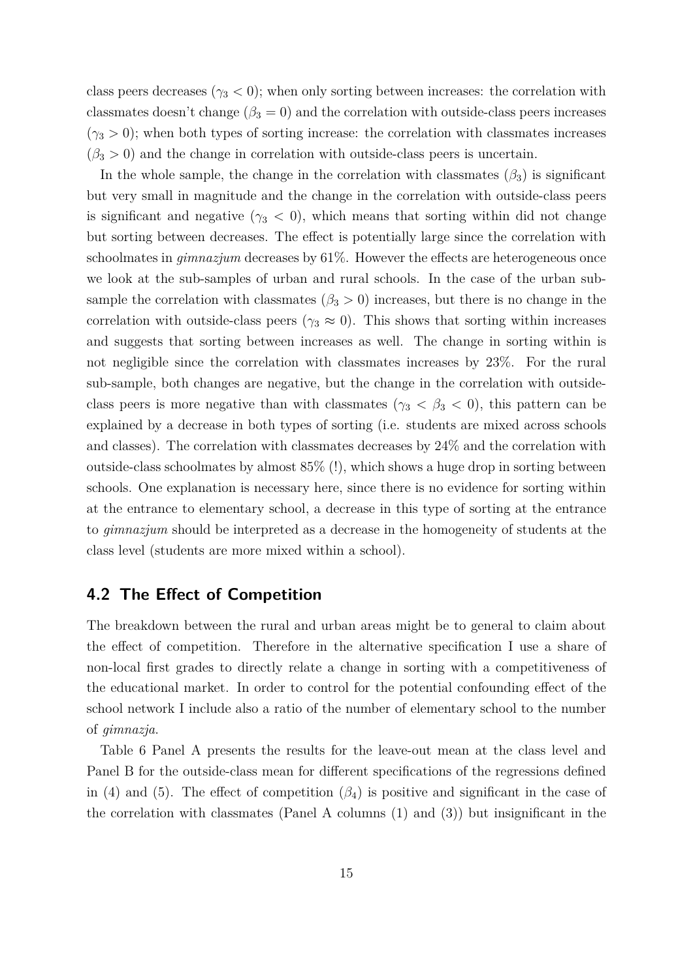class peers decreases ( $\gamma_3$  < 0); when only sorting between increases: the correlation with classmates doesn't change ( $\beta_3 = 0$ ) and the correlation with outside-class peers increases  $(\gamma_3 > 0)$ ; when both types of sorting increase: the correlation with classmates increases  $(\beta_3 > 0)$  and the change in correlation with outside-class peers is uncertain.

In the whole sample, the change in the correlation with classmates  $(\beta_3)$  is significant but very small in magnitude and the change in the correlation with outside-class peers is significant and negative  $(\gamma_3 < 0)$ , which means that sorting within did not change but sorting between decreases. The effect is potentially large since the correlation with schoolmates in *gimnazjum* decreases by 61%. However the effects are heterogeneous once we look at the sub-samples of urban and rural schools. In the case of the urban subsample the correlation with classmates ( $\beta_3 > 0$ ) increases, but there is no change in the correlation with outside-class peers ( $\gamma_3 \approx 0$ ). This shows that sorting within increases and suggests that sorting between increases as well. The change in sorting within is not negligible since the correlation with classmates increases by 23%. For the rural sub-sample, both changes are negative, but the change in the correlation with outsideclass peers is more negative than with classmates ( $\gamma_3 < \beta_3 < 0$ ), this pattern can be explained by a decrease in both types of sorting (i.e. students are mixed across schools and classes). The correlation with classmates decreases by 24% and the correlation with outside-class schoolmates by almost  $85\%$  (!), which shows a huge drop in sorting between schools. One explanation is necessary here, since there is no evidence for sorting within at the entrance to elementary school, a decrease in this type of sorting at the entrance to *gimnazjum* should be interpreted as a decrease in the homogeneity of students at the class level (students are more mixed within a school).

## **4.2 The Effect of Competition**

The breakdown between the rural and urban areas might be to general to claim about the effect of competition. Therefore in the alternative specification I use a share of non-local first grades to directly relate a change in sorting with a competitiveness of the educational market. In order to control for the potential confounding effect of the school network I include also a ratio of the number of elementary school to the number of *gimnazja*.

Table 6 Panel A presents the results for the leave-out mean at the class level and Panel B for the outside-class mean for different specifications of the regressions defined in (4) and (5). The effect of competition  $(\beta_4)$  is positive and significant in the case of the correlation with classmates (Panel A columns (1) and (3)) but insignificant in the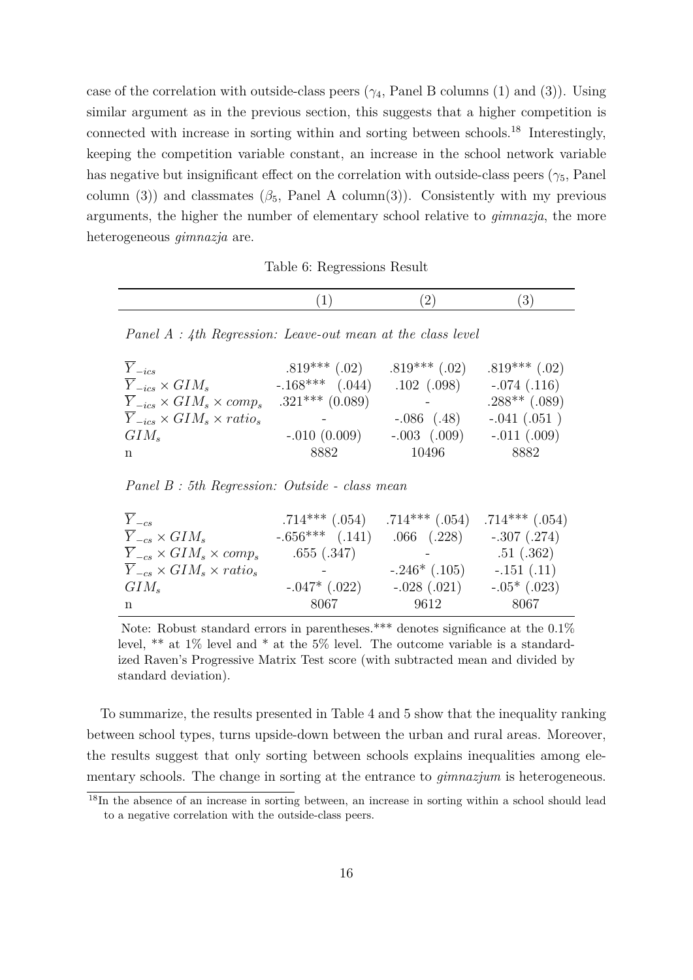case of the correlation with outside-class peers  $(\gamma_4,$  Panel B columns (1) and (3)). Using similar argument as in the previous section, this suggests that a higher competition is connected with increase in sorting within and sorting between schools.<sup>18</sup> Interestingly, keeping the competition variable constant, an increase in the school network variable has negative but insignificant effect on the correlation with outside-class peers ( $\gamma_5$ , Panel column (3)) and classmates  $(\beta_5,$  Panel A column(3)). Consistently with my previous arguments, the higher the number of elementary school relative to *gimnazja*, the more heterogeneous *gimnazja* are.

Table 6: Regressions Result

*Panel A : 4th Regression: Leave-out mean at the class level*

| $Y_{-ics}$                                       | $.819***$ (.02)     | $.819***$ (.02)  | $.819***$ (.02) |
|--------------------------------------------------|---------------------|------------------|-----------------|
| $\overline{Y}_{-ics} \times GIM_s$               | $-.168***$ $(.044)$ | $.102 \(.098)$   | $-.074(.116)$   |
| $\overline{Y}_{-ics} \times GIM_s \times comp_s$ | $.321***$ (0.089)   |                  | $.288**$ (.089) |
| $Y_{-ics} \times GIM_s \times ratio_s$           |                     | $-.086$ $(.48)$  | $-.041(.051)$   |
| $GIM_s$                                          | $-.010(0.009)$      | $-.003$ $(.009)$ | $-.011(.009)$   |
| n                                                | 8882                | 10496            | 8882            |

*Panel B : 5th Regression: Outside - class mean*

| $\overline{Y}_{-cs}$                             | $.714***$ $(.054)$  | $.714***$ $(.054)$ | $.714***$ $(.054)$ |
|--------------------------------------------------|---------------------|--------------------|--------------------|
| $\overline{Y}_{-cs} \times GIM_s$                | $-.656***$ $(.141)$ | $.066$ $(.228)$    | $-.307(.274)$      |
| $Y_{-cs} \times GIM_s \times comp_s$             | .655(.347)          |                    | .51(.362)          |
| $\overline{Y}_{-cs} \times GIM_s \times ratio_s$ |                     | $-.246*(.105)$     | $-.151(.11)$       |
| $GIM_s$                                          | $-.047*$ $(.022)$   | $-.028(.021)$      | $-.05*$ (.023)     |
| n                                                | 8067                | 9612               | 8067               |

Note: Robust standard errors in parentheses.<sup>\*\*\*</sup> denotes significance at the  $0.1\%$ level, \*\* at 1% level and \* at the 5% level. The outcome variable is a standardized Raven's Progressive Matrix Test score (with subtracted mean and divided by standard deviation).

To summarize, the results presented in Table 4 and 5 show that the inequality ranking between school types, turns upside-down between the urban and rural areas. Moreover, the results suggest that only sorting between schools explains inequalities among elementary schools. The change in sorting at the entrance to *gimnazjum* is heterogeneous.

<sup>&</sup>lt;sup>18</sup>In the absence of an increase in sorting between, an increase in sorting within a school should lead to a negative correlation with the outside-class peers.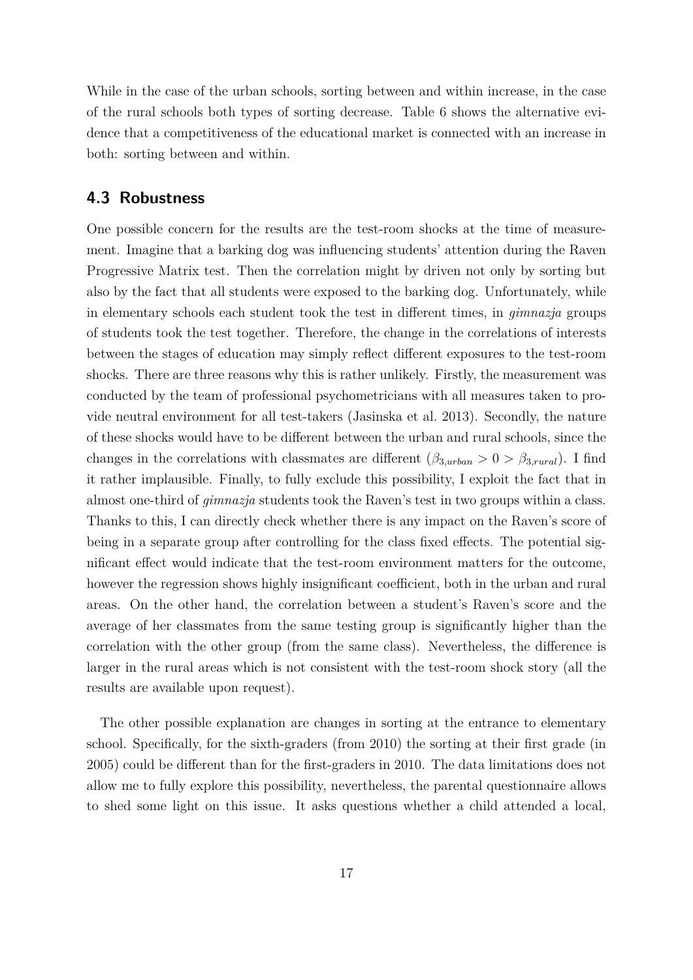While in the case of the urban schools, sorting between and within increase, in the case of the rural schools both types of sorting decrease. Table 6 shows the alternative evidence that a competitiveness of the educational market is connected with an increase in both: sorting between and within.

## **4.3 Robustness**

One possible concern for the results are the test-room shocks at the time of measurement. Imagine that a barking dog was influencing students' attention during the Raven Progressive Matrix test. Then the correlation might by driven not only by sorting but also by the fact that all students were exposed to the barking dog. Unfortunately, while in elementary schools each student took the test in different times, in *gimnazja* groups of students took the test together. Therefore, the change in the correlations of interests between the stages of education may simply reflect different exposures to the test-room shocks. There are three reasons why this is rather unlikely. Firstly, the measurement was conducted by the team of professional psychometricians with all measures taken to provide neutral environment for all test-takers (Jasinska et al. 2013). Secondly, the nature of these shocks would have to be different between the urban and rural schools, since the changes in the correlations with classmates are different  $(\beta_{3,urban} > 0 > \beta_{3, rural})$ . I find it rather implausible. Finally, to fully exclude this possibility, I exploit the fact that in almost one-third of *gimnazja* students took the Raven's test in two groups within a class. Thanks to this, I can directly check whether there is any impact on the Raven's score of being in a separate group after controlling for the class fixed effects. The potential significant effect would indicate that the test-room environment matters for the outcome, however the regression shows highly insignificant coefficient, both in the urban and rural areas. On the other hand, the correlation between a student's Raven's score and the average of her classmates from the same testing group is significantly higher than the correlation with the other group (from the same class). Nevertheless, the difference is larger in the rural areas which is not consistent with the test-room shock story (all the results are available upon request).

The other possible explanation are changes in sorting at the entrance to elementary school. Specifically, for the sixth-graders (from 2010) the sorting at their first grade (in 2005) could be different than for the first-graders in 2010. The data limitations does not allow me to fully explore this possibility, nevertheless, the parental questionnaire allows to shed some light on this issue. It asks questions whether a child attended a local,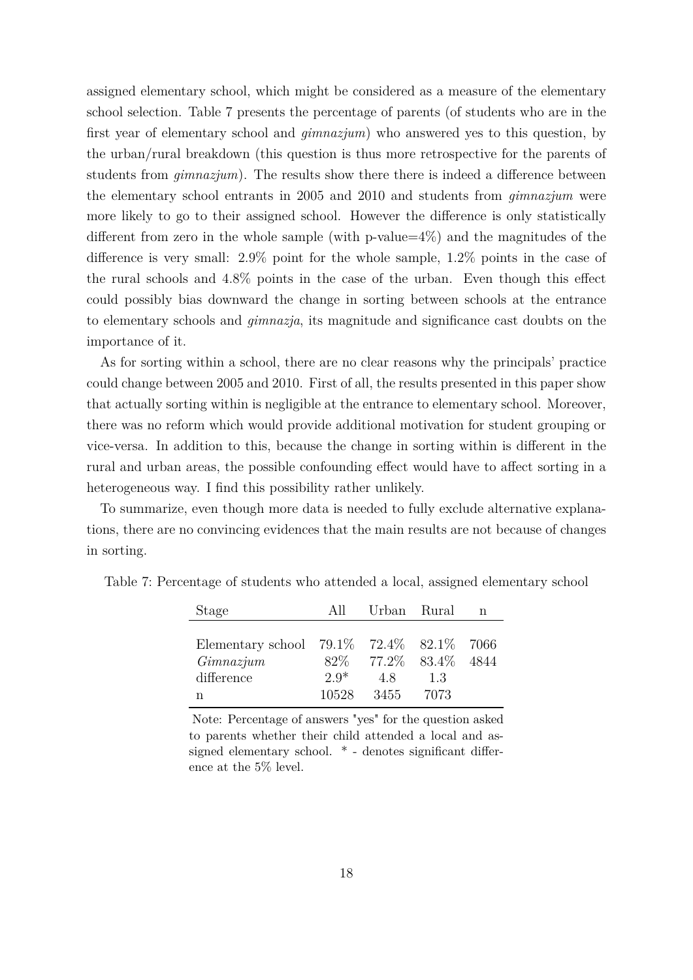assigned elementary school, which might be considered as a measure of the elementary school selection. Table 7 presents the percentage of parents (of students who are in the first year of elementary school and *gimnazjum*) who answered yes to this question, by the urban/rural breakdown (this question is thus more retrospective for the parents of students from *gimnazjum*). The results show there there is indeed a difference between the elementary school entrants in 2005 and 2010 and students from *gimnazjum* were more likely to go to their assigned school. However the difference is only statistically different from zero in the whole sample (with p-value= $4\%$ ) and the magnitudes of the difference is very small: 2.9% point for the whole sample, 1.2% points in the case of the rural schools and 4.8% points in the case of the urban. Even though this effect could possibly bias downward the change in sorting between schools at the entrance to elementary schools and *gimnazja*, its magnitude and significance cast doubts on the importance of it.

As for sorting within a school, there are no clear reasons why the principals' practice could change between 2005 and 2010. First of all, the results presented in this paper show that actually sorting within is negligible at the entrance to elementary school. Moreover, there was no reform which would provide additional motivation for student grouping or vice-versa. In addition to this, because the change in sorting within is different in the rural and urban areas, the possible confounding effect would have to affect sorting in a heterogeneous way. I find this possibility rather unlikely.

To summarize, even though more data is needed to fully exclude alternative explanations, there are no convincing evidences that the main results are not because of changes in sorting.

| Stage                                               | All    | Urban Rural             |      | n |
|-----------------------------------------------------|--------|-------------------------|------|---|
|                                                     |        |                         |      |   |
| Elementary school $79.1\%$ $72.4\%$ $82.1\%$ $7066$ |        |                         |      |   |
| Gimnazium                                           |        | 82\% 77.2\% 83.4\% 4844 |      |   |
| difference                                          | $2.9*$ | 4.8                     | 13   |   |
| n                                                   | 10528  | 3455                    | 7073 |   |

Table 7: Percentage of students who attended a local, assigned elementary school

Note: Percentage of answers "yes" for the question asked to parents whether their child attended a local and assigned elementary school. \* - denotes significant difference at the 5% level.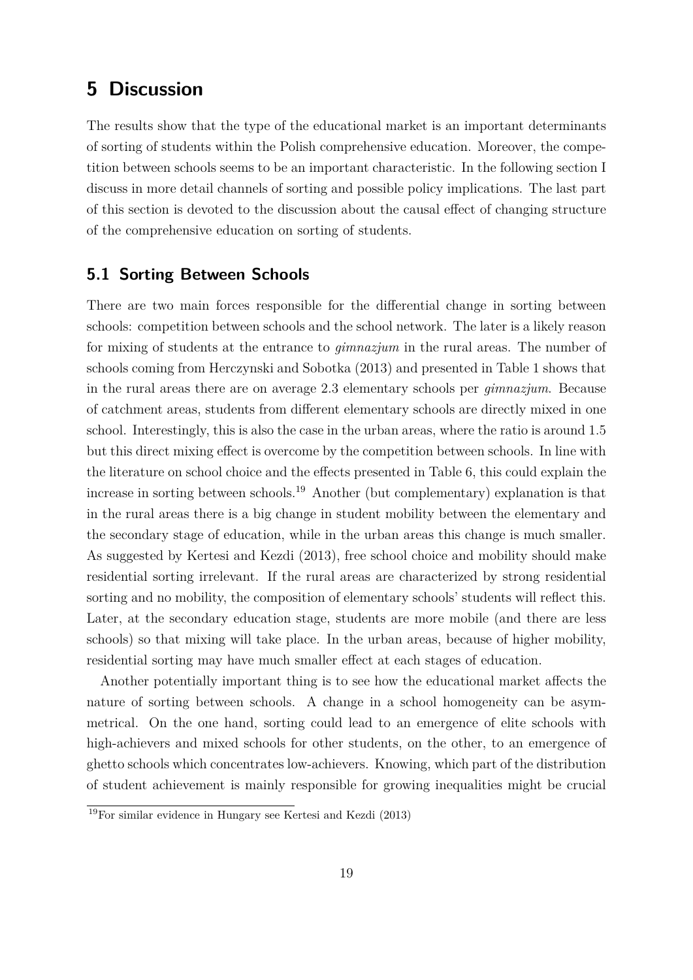## **5 Discussion**

The results show that the type of the educational market is an important determinants of sorting of students within the Polish comprehensive education. Moreover, the competition between schools seems to be an important characteristic. In the following section I discuss in more detail channels of sorting and possible policy implications. The last part of this section is devoted to the discussion about the causal effect of changing structure of the comprehensive education on sorting of students.

#### **5.1 Sorting Between Schools**

There are two main forces responsible for the differential change in sorting between schools: competition between schools and the school network. The later is a likely reason for mixing of students at the entrance to *gimnazjum* in the rural areas. The number of schools coming from Herczynski and Sobotka (2013) and presented in Table 1 shows that in the rural areas there are on average 2.3 elementary schools per *gimnazjum*. Because of catchment areas, students from different elementary schools are directly mixed in one school. Interestingly, this is also the case in the urban areas, where the ratio is around 1.5 but this direct mixing effect is overcome by the competition between schools. In line with the literature on school choice and the effects presented in Table 6, this could explain the increase in sorting between schools.<sup>19</sup> Another (but complementary) explanation is that in the rural areas there is a big change in student mobility between the elementary and the secondary stage of education, while in the urban areas this change is much smaller. As suggested by Kertesi and Kezdi (2013), free school choice and mobility should make residential sorting irrelevant. If the rural areas are characterized by strong residential sorting and no mobility, the composition of elementary schools' students will reflect this. Later, at the secondary education stage, students are more mobile (and there are less schools) so that mixing will take place. In the urban areas, because of higher mobility, residential sorting may have much smaller effect at each stages of education.

Another potentially important thing is to see how the educational market affects the nature of sorting between schools. A change in a school homogeneity can be asymmetrical. On the one hand, sorting could lead to an emergence of elite schools with high-achievers and mixed schools for other students, on the other, to an emergence of ghetto schools which concentrates low-achievers. Knowing, which part of the distribution of student achievement is mainly responsible for growing inequalities might be crucial

<sup>19</sup>For similar evidence in Hungary see Kertesi and Kezdi (2013)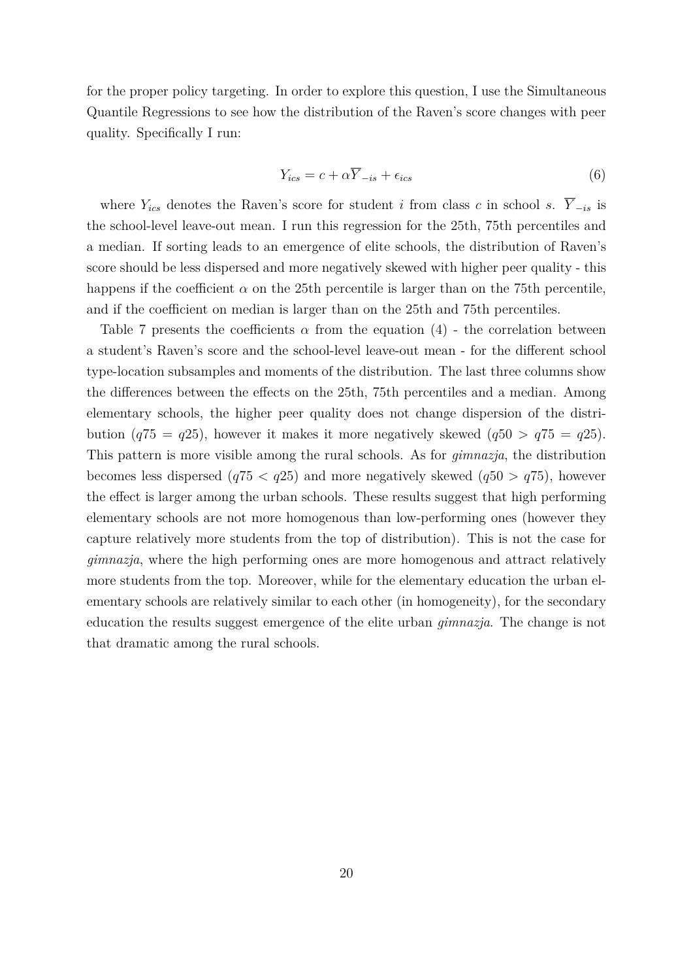for the proper policy targeting. In order to explore this question, I use the Simultaneous Quantile Regressions to see how the distribution of the Raven's score changes with peer quality. Specifically I run:

$$
Y_{ics} = c + \alpha \overline{Y}_{-is} + \epsilon_{ics} \tag{6}
$$

where  $Y_{ics}$  denotes the Raven's score for student *i* from class *c* in school *s*.  $\overline{Y}_{-is}$  is the school-level leave-out mean. I run this regression for the 25th, 75th percentiles and a median. If sorting leads to an emergence of elite schools, the distribution of Raven's score should be less dispersed and more negatively skewed with higher peer quality - this happens if the coefficient  $\alpha$  on the 25th percentile is larger than on the 75th percentile, and if the coefficient on median is larger than on the 25th and 75th percentiles.

Table 7 presents the coefficients  $\alpha$  from the equation (4) - the correlation between a student's Raven's score and the school-level leave-out mean - for the different school type-location subsamples and moments of the distribution. The last three columns show the differences between the effects on the 25th, 75th percentiles and a median. Among elementary schools, the higher peer quality does not change dispersion of the distribution ( $q75 = q25$ ), however it makes it more negatively skewed ( $q50 > q75 = q25$ ). This pattern is more visible among the rural schools. As for *gimnazja*, the distribution becomes less dispersed  $(q75 < q25)$  and more negatively skewed  $(q50 > q75)$ , however the effect is larger among the urban schools. These results suggest that high performing elementary schools are not more homogenous than low-performing ones (however they capture relatively more students from the top of distribution). This is not the case for *gimnazja*, where the high performing ones are more homogenous and attract relatively more students from the top. Moreover, while for the elementary education the urban elementary schools are relatively similar to each other (in homogeneity), for the secondary education the results suggest emergence of the elite urban *gimnazja*. The change is not that dramatic among the rural schools.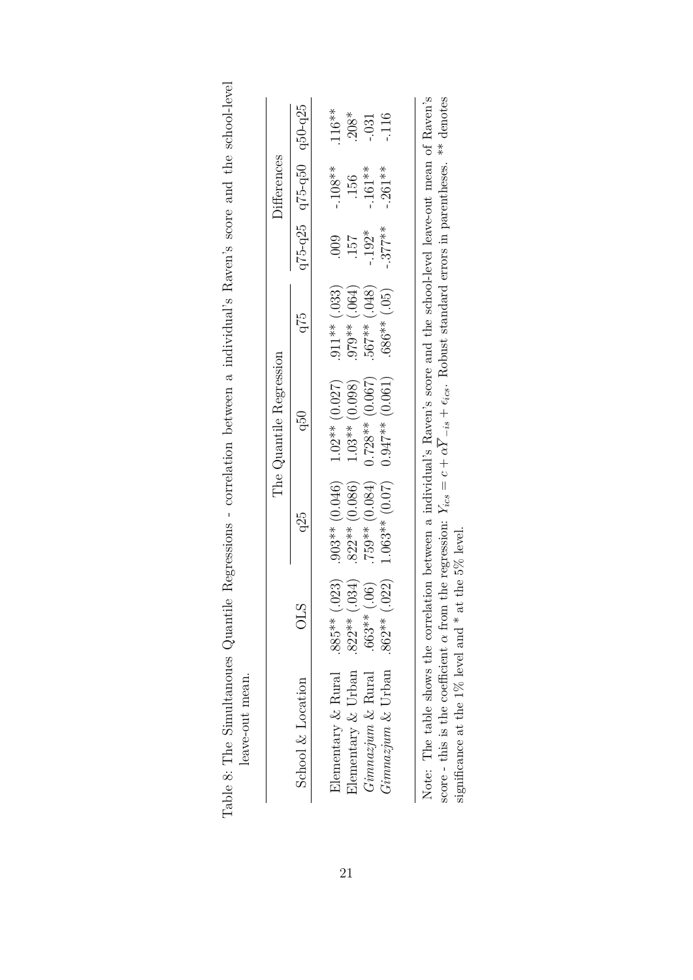|                                                                                                                                                                   |                   |                  | The Quantile Regression |                    |          | Differences             |         |
|-------------------------------------------------------------------------------------------------------------------------------------------------------------------|-------------------|------------------|-------------------------|--------------------|----------|-------------------------|---------|
| School $\&$ Location                                                                                                                                              | Ĕ                 | q25              | Q50                     | q75                |          | q75-q25 q75-q50 q50-q25 |         |
| Elementary & Rural                                                                                                                                                | .023)<br>$.885**$ | $.903**$ (0.046) | $1.02**$ (0.027)        | $.911**$ (.033)    | $000$ .  | $-108**$                | $116**$ |
| Elementary $&$ Urban                                                                                                                                              | .034)<br>$.822**$ | $.822**$ (0.086) | $1.03**$ (0.098)        | $(190)$ ** $(064)$ | 157      | .156                    | $208*$  |
| Gimnazjum & Rural                                                                                                                                                 | (.06)<br>.663**   | $.759**$ (0.084) | $0.728**$ (0.067)       | $(8F0)$ **799      | $-.192*$ | $-.161**$               | .031    |
| $Gimnazjum \&$ Urban                                                                                                                                              | .022)<br>.862**   | $1.063**$ (0.07) | $0.947**$ (0.061)       | $.686**$ (.05)     | $.377**$ | $-.261**$               | .116    |
|                                                                                                                                                                   |                   |                  |                         |                    |          |                         |         |
| Note: The table shows the correlation between a individual's Raven's score and the school-level leave-out mean of Raven's                                         |                   |                  |                         |                    |          |                         |         |
| score - this is the coefficient $\alpha$ from the regression: $Y_{ics} = c + \alpha Y_{-is} + \epsilon_{ics}$ . Robust standard errors in parentheses. ** denotes |                   |                  |                         |                    |          |                         |         |
| significance at the 1% level and $*$ at the 5% level.                                                                                                             |                   |                  |                         |                    |          |                         |         |

| $\overline{a}$<br>י<br>י<br>tion bottpoon a indiringly Raten and and the announce<br>l<br>2) りょうしょう<br>HAAR ATA<br>ĺ<br>ĺ | י<br>-<br>Common C<br>$\overline{\phantom{a}}$ | 22121<br>ſ<br>ì |            | The contract of the contract of the contract of the contract of the contract of the contract of the contract of the contract of the contract of the contract of the contract of the contract of the contract of the contract o<br>i torro se de interesta<br>usan-ulin-ark<br>yy yu<br>Ę |
|---------------------------------------------------------------------------------------------------------------------------|------------------------------------------------|-----------------|------------|------------------------------------------------------------------------------------------------------------------------------------------------------------------------------------------------------------------------------------------------------------------------------------------|
|                                                                                                                           |                                                |                 | Ramasenone | d<br>$\sum_{i=1}^{n}$                                                                                                                                                                                                                                                                    |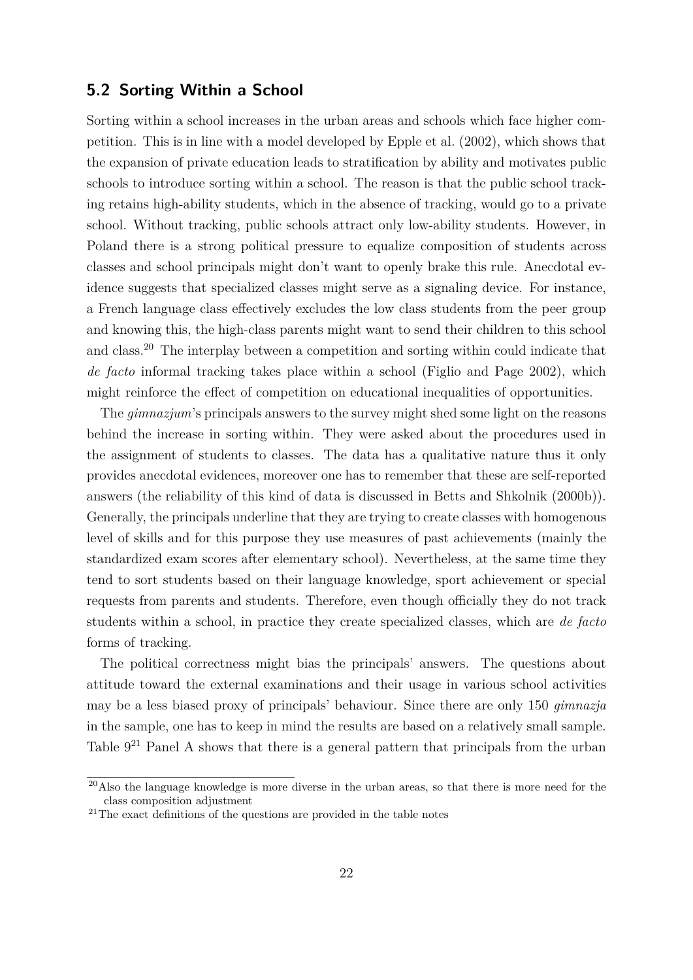#### **5.2 Sorting Within a School**

Sorting within a school increases in the urban areas and schools which face higher competition. This is in line with a model developed by Epple et al. (2002), which shows that the expansion of private education leads to stratification by ability and motivates public schools to introduce sorting within a school. The reason is that the public school tracking retains high-ability students, which in the absence of tracking, would go to a private school. Without tracking, public schools attract only low-ability students. However, in Poland there is a strong political pressure to equalize composition of students across classes and school principals might don't want to openly brake this rule. Anecdotal evidence suggests that specialized classes might serve as a signaling device. For instance, a French language class effectively excludes the low class students from the peer group and knowing this, the high-class parents might want to send their children to this school and class.<sup>20</sup> The interplay between a competition and sorting within could indicate that *de facto* informal tracking takes place within a school (Figlio and Page 2002), which might reinforce the effect of competition on educational inequalities of opportunities.

The *gimnazjum*'s principals answers to the survey might shed some light on the reasons behind the increase in sorting within. They were asked about the procedures used in the assignment of students to classes. The data has a qualitative nature thus it only provides anecdotal evidences, moreover one has to remember that these are self-reported answers (the reliability of this kind of data is discussed in Betts and Shkolnik (2000b)). Generally, the principals underline that they are trying to create classes with homogenous level of skills and for this purpose they use measures of past achievements (mainly the standardized exam scores after elementary school). Nevertheless, at the same time they tend to sort students based on their language knowledge, sport achievement or special requests from parents and students. Therefore, even though officially they do not track students within a school, in practice they create specialized classes, which are *de facto* forms of tracking.

The political correctness might bias the principals' answers. The questions about attitude toward the external examinations and their usage in various school activities may be a less biased proxy of principals' behaviour. Since there are only 150 *gimnazja* in the sample, one has to keep in mind the results are based on a relatively small sample. Table  $9^{21}$  Panel A shows that there is a general pattern that principals from the urban

<sup>&</sup>lt;sup>20</sup>Also the language knowledge is more diverse in the urban areas, so that there is more need for the class composition adjustment

<sup>&</sup>lt;sup>21</sup>The exact definitions of the questions are provided in the table notes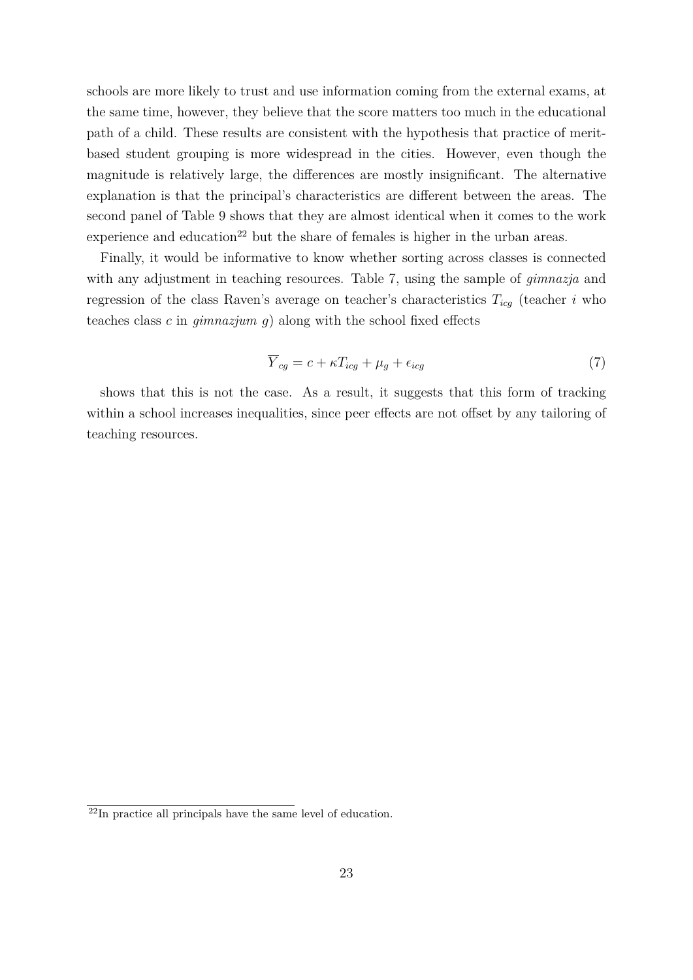schools are more likely to trust and use information coming from the external exams, at the same time, however, they believe that the score matters too much in the educational path of a child. These results are consistent with the hypothesis that practice of meritbased student grouping is more widespread in the cities. However, even though the magnitude is relatively large, the differences are mostly insignificant. The alternative explanation is that the principal's characteristics are different between the areas. The second panel of Table 9 shows that they are almost identical when it comes to the work experience and education<sup>22</sup> but the share of females is higher in the urban areas.

Finally, it would be informative to know whether sorting across classes is connected with any adjustment in teaching resources. Table 7, using the sample of *gimnazja* and regression of the class Raven's average on teacher's characteristics  $T_{icq}$  (teacher *i* who teaches class *c* in *gimnazjum g*) along with the school fixed effects

$$
\overline{Y}_{cg} = c + \kappa T_{icg} + \mu_g + \epsilon_{icg} \tag{7}
$$

shows that this is not the case. As a result, it suggests that this form of tracking within a school increases inequalities, since peer effects are not offset by any tailoring of teaching resources.

<sup>&</sup>lt;sup>22</sup>In practice all principals have the same level of education.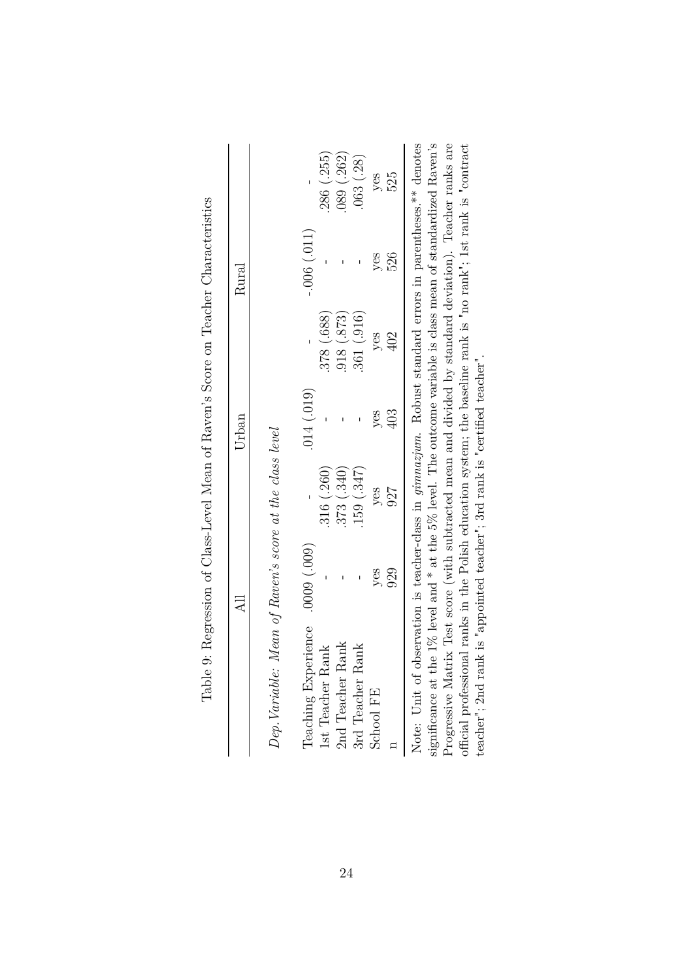|                                                                                                                   |     |            | Urban      |               | Rural         |            |
|-------------------------------------------------------------------------------------------------------------------|-----|------------|------------|---------------|---------------|------------|
| Dep. Variable: Mean of Raven's score at the class level                                                           |     |            |            |               |               |            |
| Teaching Experience .0009 (.009)                                                                                  |     |            | (014)(019) |               | $-.006(.011)$ |            |
| 1st Teacher Rank                                                                                                  |     | .316(.260) |            | 378 (.688)    |               | 286 (.255) |
| 2nd Teacher Rank                                                                                                  |     | .373(.340) |            | $.873$ (.873) |               | 089(0.262) |
| 3rd Teacher Rank                                                                                                  |     | (0.347)    |            | 361(.916)     |               | .063(.28)  |
| School FE                                                                                                         | yes | yes        | yes        | yes           | yes           | yes        |
|                                                                                                                   | 929 | 927        | 403        | 402           | 526           | 525        |
| Note: Unit of observation is teacher-class in <i>gimnazjum</i> . Robust standard errors in parentheses.** denotes |     |            |            |               |               |            |
| significance at the 1% level and * at the 5% level. The outcome variable is class mean of standardized Raven's    |     |            |            |               |               |            |
| Progressive Matrix Test score (with subtracted mean and divided by standard deviation). Teacher ranks are         |     |            |            |               |               |            |
| official professional ranks in the Polish education system; the baseline rank is "no rank"; 1st rank is "contract |     |            |            |               |               |            |
| teacher"; 2nd rank is "appointed teacher"; 3rd rank is "certified teacher".                                       |     |            |            |               |               |            |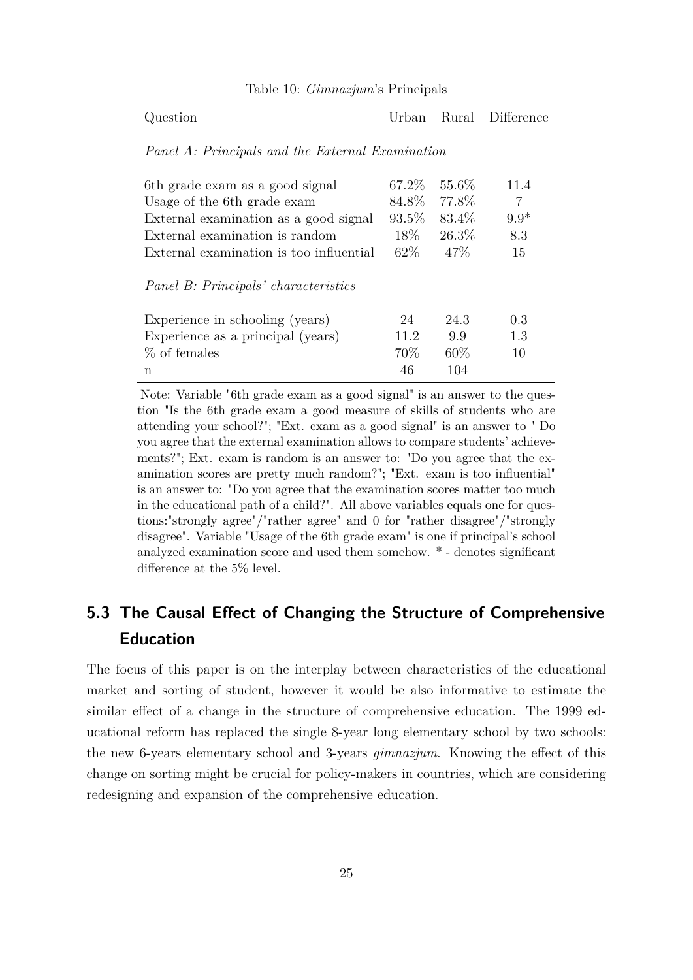| Question |  | Urban Rural Difference |
|----------|--|------------------------|
|          |  |                        |

Table 10: *Gimnazjum*'s Principals

#### *Panel A: Principals and the External Examination*

| 6th grade exam as a good signal         | 67.2\% | 55.6\% | 11.4   |
|-----------------------------------------|--------|--------|--------|
| Usage of the 6th grade exam             | 84.8%  | 77.8%  | 7      |
| External examination as a good signal   | 93.5\% | 83.4\% | $9.9*$ |
| External examination is random          | $18\%$ | 26.3%  | 8.3    |
| External examination is too influential | 62\%   | $47\%$ | 15     |
| Panel B: Principals' characteristics    |        |        |        |
| Experience in schooling (years)         | 24     | 24.3   | 0.3    |
| Experience as a principal (years)       | 11.2   | 99     | 1.3    |
| % of females                            | 70\%   | $60\%$ | 10     |
| n                                       | 46     | 104    |        |

Note: Variable "6th grade exam as a good signal" is an answer to the question "Is the 6th grade exam a good measure of skills of students who are attending your school?"; "Ext. exam as a good signal" is an answer to " Do you agree that the external examination allows to compare students' achievements?"; Ext. exam is random is an answer to: "Do you agree that the examination scores are pretty much random?"; "Ext. exam is too influential" is an answer to: "Do you agree that the examination scores matter too much in the educational path of a child?". All above variables equals one for questions:"strongly agree"/"rather agree" and 0 for "rather disagree"/"strongly disagree". Variable "Usage of the 6th grade exam" is one if principal's school analyzed examination score and used them somehow. \* - denotes significant difference at the 5% level.

## **5.3 The Causal Effect of Changing the Structure of Comprehensive Education**

The focus of this paper is on the interplay between characteristics of the educational market and sorting of student, however it would be also informative to estimate the similar effect of a change in the structure of comprehensive education. The 1999 educational reform has replaced the single 8-year long elementary school by two schools: the new 6-years elementary school and 3-years *gimnazjum*. Knowing the effect of this change on sorting might be crucial for policy-makers in countries, which are considering redesigning and expansion of the comprehensive education.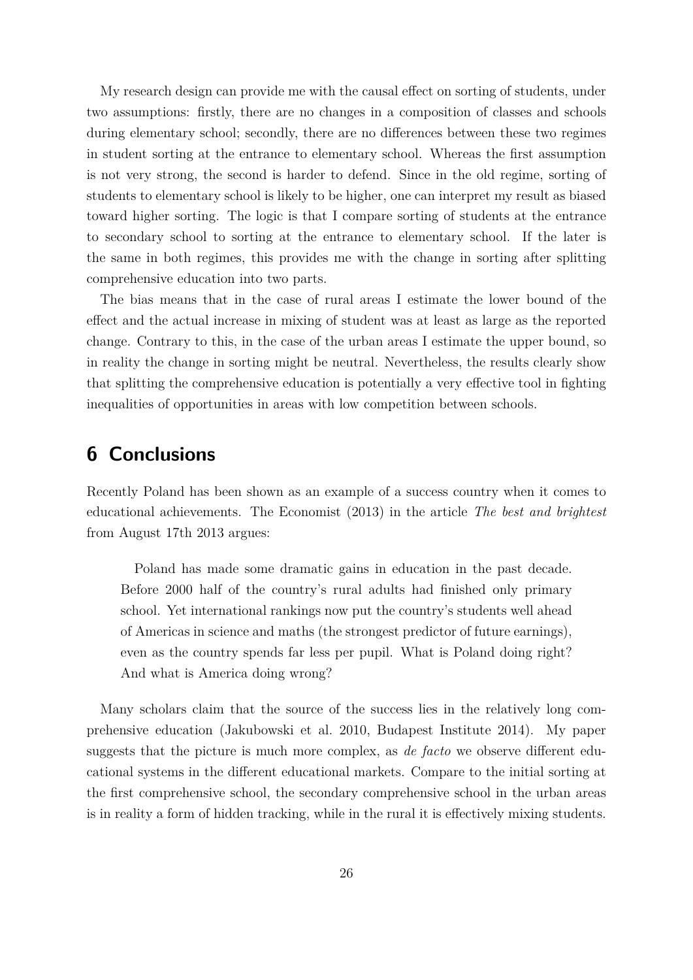My research design can provide me with the causal effect on sorting of students, under two assumptions: firstly, there are no changes in a composition of classes and schools during elementary school; secondly, there are no differences between these two regimes in student sorting at the entrance to elementary school. Whereas the first assumption is not very strong, the second is harder to defend. Since in the old regime, sorting of students to elementary school is likely to be higher, one can interpret my result as biased toward higher sorting. The logic is that I compare sorting of students at the entrance to secondary school to sorting at the entrance to elementary school. If the later is the same in both regimes, this provides me with the change in sorting after splitting comprehensive education into two parts.

The bias means that in the case of rural areas I estimate the lower bound of the effect and the actual increase in mixing of student was at least as large as the reported change. Contrary to this, in the case of the urban areas I estimate the upper bound, so in reality the change in sorting might be neutral. Nevertheless, the results clearly show that splitting the comprehensive education is potentially a very effective tool in fighting inequalities of opportunities in areas with low competition between schools.

# **6 Conclusions**

Recently Poland has been shown as an example of a success country when it comes to educational achievements. The Economist (2013) in the article *The best and brightest* from August 17th 2013 argues:

Poland has made some dramatic gains in education in the past decade. Before 2000 half of the country's rural adults had finished only primary school. Yet international rankings now put the country's students well ahead of Americas in science and maths (the strongest predictor of future earnings), even as the country spends far less per pupil. What is Poland doing right? And what is America doing wrong?

Many scholars claim that the source of the success lies in the relatively long comprehensive education (Jakubowski et al. 2010, Budapest Institute 2014). My paper suggests that the picture is much more complex, as *de facto* we observe different educational systems in the different educational markets. Compare to the initial sorting at the first comprehensive school, the secondary comprehensive school in the urban areas is in reality a form of hidden tracking, while in the rural it is effectively mixing students.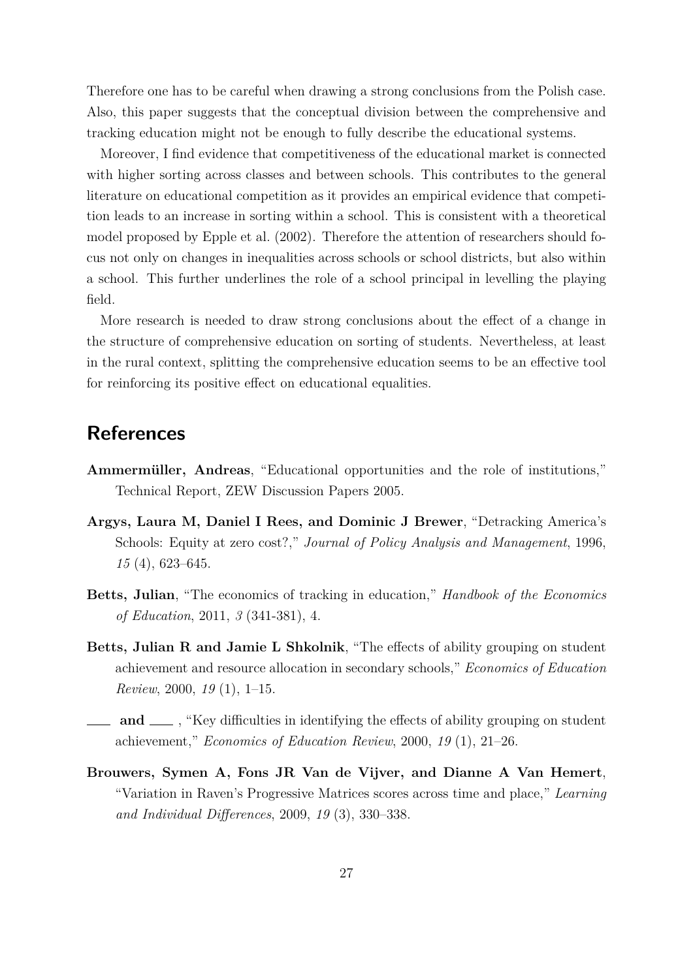Therefore one has to be careful when drawing a strong conclusions from the Polish case. Also, this paper suggests that the conceptual division between the comprehensive and tracking education might not be enough to fully describe the educational systems.

Moreover, I find evidence that competitiveness of the educational market is connected with higher sorting across classes and between schools. This contributes to the general literature on educational competition as it provides an empirical evidence that competition leads to an increase in sorting within a school. This is consistent with a theoretical model proposed by Epple et al. (2002). Therefore the attention of researchers should focus not only on changes in inequalities across schools or school districts, but also within a school. This further underlines the role of a school principal in levelling the playing field.

More research is needed to draw strong conclusions about the effect of a change in the structure of comprehensive education on sorting of students. Nevertheless, at least in the rural context, splitting the comprehensive education seems to be an effective tool for reinforcing its positive effect on educational equalities.

# **References**

- **Ammermüller, Andreas**, "Educational opportunities and the role of institutions," Technical Report, ZEW Discussion Papers 2005.
- **Argys, Laura M, Daniel I Rees, and Dominic J Brewer**, "Detracking America's Schools: Equity at zero cost?," *Journal of Policy Analysis and Management*, 1996, *15* (4), 623–645.
- **Betts, Julian**, "The economics of tracking in education," *Handbook of the Economics of Education*, 2011, *3* (341-381), 4.
- **Betts, Julian R and Jamie L Shkolnik**, "The effects of ability grouping on student achievement and resource allocation in secondary schools," *Economics of Education Review*, 2000, *19* (1), 1–15.
- **and**  $\equiv$ , "Key difficulties in identifying the effects of ability grouping on student achievement," *Economics of Education Review*, 2000, *19* (1), 21–26.
- **Brouwers, Symen A, Fons JR Van de Vijver, and Dianne A Van Hemert**, "Variation in Raven's Progressive Matrices scores across time and place," *Learning and Individual Differences*, 2009, *19* (3), 330–338.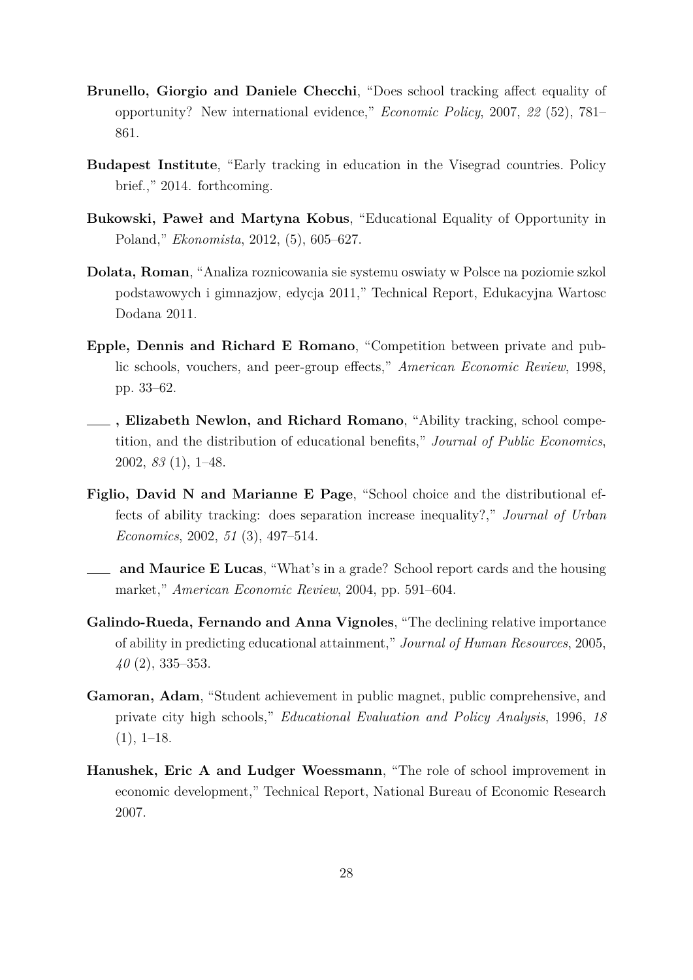- **Brunello, Giorgio and Daniele Checchi**, "Does school tracking affect equality of opportunity? New international evidence," *Economic Policy*, 2007, *22* (52), 781– 861.
- **Budapest Institute**, "Early tracking in education in the Visegrad countries. Policy brief.," 2014. forthcoming.
- **Bukowski, Paweł and Martyna Kobus**, "Educational Equality of Opportunity in Poland," *Ekonomista*, 2012, (5), 605–627.
- **Dolata, Roman**, "Analiza roznicowania sie systemu oswiaty w Polsce na poziomie szkol podstawowych i gimnazjow, edycja 2011," Technical Report, Edukacyjna Wartosc Dodana 2011.
- **Epple, Dennis and Richard E Romano**, "Competition between private and public schools, vouchers, and peer-group effects," *American Economic Review*, 1998, pp. 33–62.
- **, Elizabeth Newlon, and Richard Romano**, "Ability tracking, school competition, and the distribution of educational benefits," *Journal of Public Economics*, 2002, *83* (1), 1–48.
- **Figlio, David N and Marianne E Page**, "School choice and the distributional effects of ability tracking: does separation increase inequality?," *Journal of Urban Economics*, 2002, *51* (3), 497–514.
- **and Maurice E Lucas**, "What's in a grade? School report cards and the housing market," *American Economic Review*, 2004, pp. 591–604.
- **Galindo-Rueda, Fernando and Anna Vignoles**, "The declining relative importance of ability in predicting educational attainment," *Journal of Human Resources*, 2005, *40* (2), 335–353.
- **Gamoran, Adam**, "Student achievement in public magnet, public comprehensive, and private city high schools," *Educational Evaluation and Policy Analysis*, 1996, *18*  $(1), 1-18.$
- **Hanushek, Eric A and Ludger Woessmann**, "The role of school improvement in economic development," Technical Report, National Bureau of Economic Research 2007.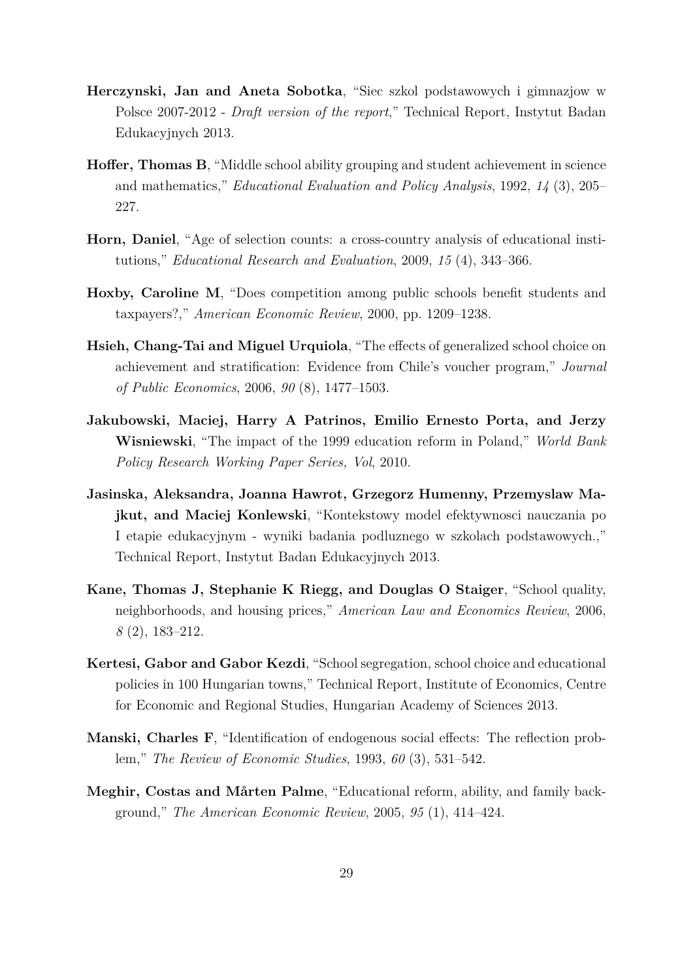- **Herczynski, Jan and Aneta Sobotka**, "Siec szkol podstawowych i gimnazjow w Polsce 2007-2012 - *Draft version of the report*," Technical Report, Instytut Badan Edukacyjnych 2013.
- **Hoffer, Thomas B**, "Middle school ability grouping and student achievement in science and mathematics," *Educational Evaluation and Policy Analysis*, 1992, *14* (3), 205– 227.
- **Horn, Daniel**, "Age of selection counts: a cross-country analysis of educational institutions," *Educational Research and Evaluation*, 2009, *15* (4), 343–366.
- **Hoxby, Caroline M**, "Does competition among public schools benefit students and taxpayers?," *American Economic Review*, 2000, pp. 1209–1238.
- **Hsieh, Chang-Tai and Miguel Urquiola**, "The effects of generalized school choice on achievement and stratification: Evidence from Chile's voucher program," *Journal of Public Economics*, 2006, *90* (8), 1477–1503.
- **Jakubowski, Maciej, Harry A Patrinos, Emilio Ernesto Porta, and Jerzy Wisniewski**, "The impact of the 1999 education reform in Poland," *World Bank Policy Research Working Paper Series, Vol*, 2010.
- **Jasinska, Aleksandra, Joanna Hawrot, Grzegorz Humenny, Przemyslaw Majkut, and Maciej Konlewski**, "Kontekstowy model efektywnosci nauczania po I etapie edukacyjnym - wyniki badania podluznego w szkolach podstawowych.," Technical Report, Instytut Badan Edukacyjnych 2013.
- **Kane, Thomas J, Stephanie K Riegg, and Douglas O Staiger**, "School quality, neighborhoods, and housing prices," *American Law and Economics Review*, 2006, *8* (2), 183–212.
- **Kertesi, Gabor and Gabor Kezdi**, "School segregation, school choice and educational policies in 100 Hungarian towns," Technical Report, Institute of Economics, Centre for Economic and Regional Studies, Hungarian Academy of Sciences 2013.
- **Manski, Charles F**, "Identification of endogenous social effects: The reflection problem," *The Review of Economic Studies*, 1993, *60* (3), 531–542.
- **Meghir, Costas and Mårten Palme**, "Educational reform, ability, and family background," *The American Economic Review*, 2005, *95* (1), 414–424.